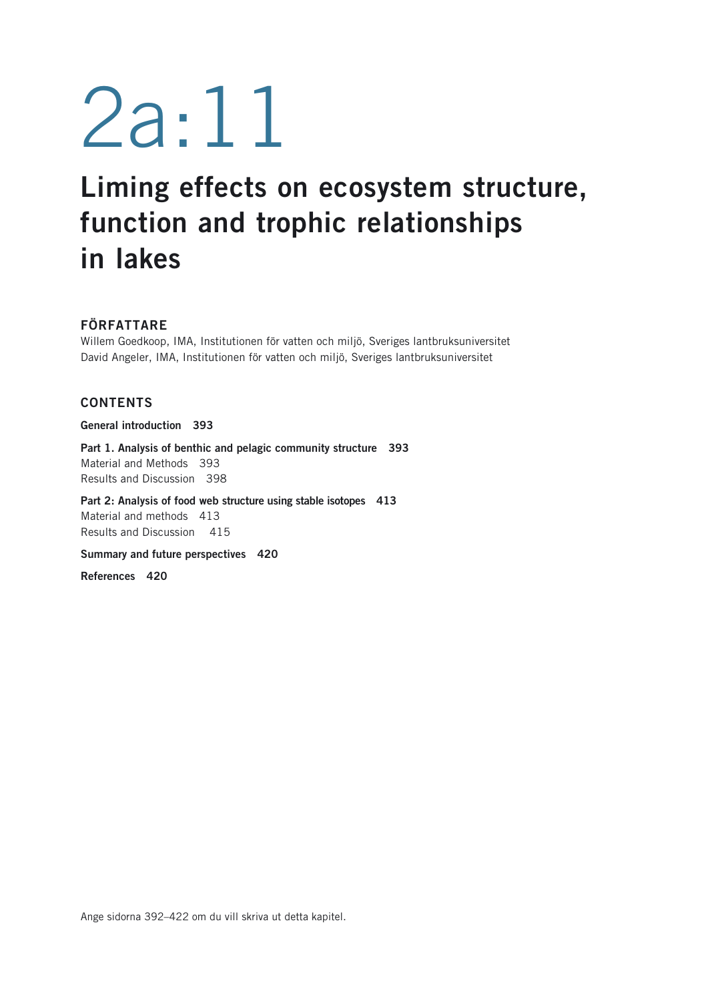# 2a:11

## **Liming effects on ecosystem structure, function and trophic relationships in lakes**

### **FÖRFATTARE**

Willem Goedkoop, IMA, Institutionen för vatten och miljö, Sveriges lantbruksuniversitet David Angeler, IMA, Institutionen för vatten och miljö, Sveriges lantbruksuniversitet

### **CONTENTS**

**General introduction 393**

**Part 1. Analysis of benthic and pelagic community structure 393** Material and Methods 393 Results and Discussion 398

**Part 2: Analysis of food web structure using stable isotopes 413** Material and methods 413 Results and Discussion 415

**Summary and future perspectives 420**

**References 420**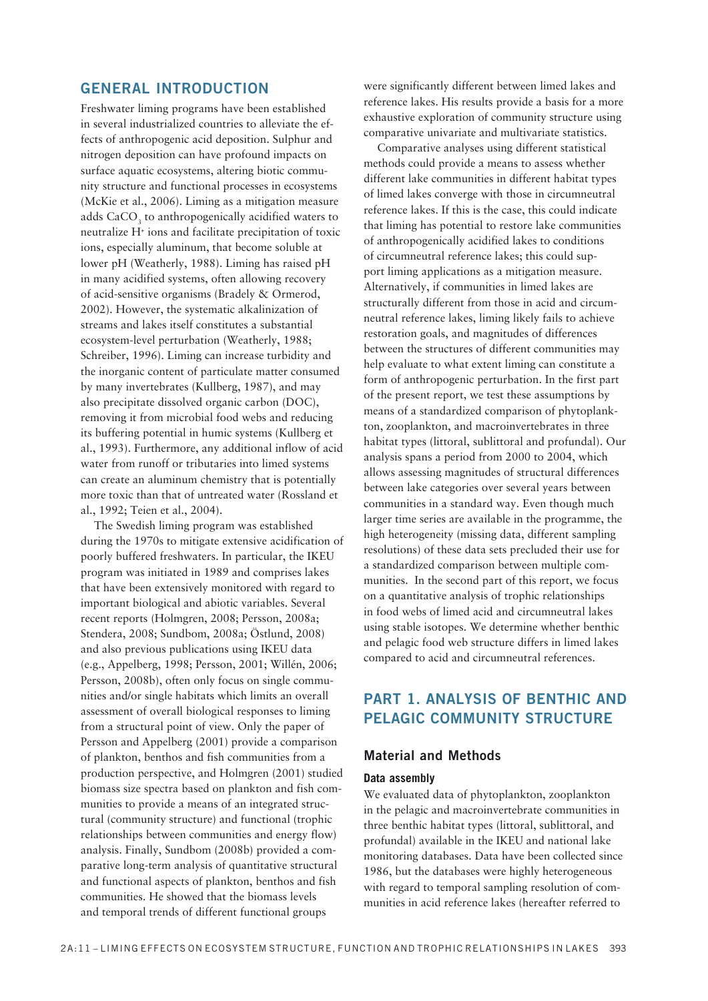### **GENERAL INTRODUCTION**

Freshwater liming programs have been established in several industrialized countries to alleviate the effects of anthropogenic acid deposition. Sulphur and nitrogen deposition can have profound impacts on surface aquatic ecosystems, altering biotic community structure and functional processes in ecosystems (McKie et al., 2006). Liming as a mitigation measure adds CaCO, to anthropogenically acidified waters to neutralize H<sup>+</sup> ions and facilitate precipitation of toxic ions, especially aluminum, that become soluble at lower pH (Weatherly, 1988). Liming has raised pH in many acidified systems, often allowing recovery of acid-sensitive organisms (Bradely & Ormerod, 2002). However, the systematic alkalinization of streams and lakes itself constitutes a substantial ecosystem-level perturbation (Weatherly, 1988; Schreiber, 1996). Liming can increase turbidity and the inorganic content of particulate matter consumed by many invertebrates (Kullberg, 1987), and may also precipitate dissolved organic carbon (DOC), removing it from microbial food webs and reducing its buffering potential in humic systems (Kullberg et al., 1993). Furthermore, any additional inflow of acid water from runoff or tributaries into limed systems can create an aluminum chemistry that is potentially more toxic than that of untreated water (Rossland et al., 1992; Teien et al., 2004).

The Swedish liming program was established during the 1970s to mitigate extensive acidification of poorly buffered freshwaters. In particular, the IKEU program was initiated in 1989 and comprises lakes that have been extensively monitored with regard to important biological and abiotic variables. Several recent reports (Holmgren, 2008; Persson, 2008a; Stendera, 2008; Sundbom, 2008a; Östlund, 2008) and also previous publications using IKEU data (e.g., Appelberg, 1998; Persson, 2001; Willén, 2006; Persson, 2008b), often only focus on single communities and/or single habitats which limits an overall assessment of overall biological responses to liming from a structural point of view. Only the paper of Persson and Appelberg (2001) provide a comparison of plankton, benthos and fish communities from a production perspective, and Holmgren (2001) studied biomass size spectra based on plankton and fish communities to provide a means of an integrated structural (community structure) and functional (trophic relationships between communities and energy flow) analysis. Finally, Sundbom (2008b) provided a comparative long-term analysis of quantitative structural and functional aspects of plankton, benthos and fish communities. He showed that the biomass levels and temporal trends of different functional groups

were significantly different between limed lakes and reference lakes. His results provide a basis for a more exhaustive exploration of community structure using comparative univariate and multivariate statistics.

Comparative analyses using different statistical methods could provide a means to assess whether different lake communities in different habitat types of limed lakes converge with those in circumneutral reference lakes. If this is the case, this could indicate that liming has potential to restore lake communities of anthropogenically acidified lakes to conditions of circumneutral reference lakes; this could support liming applications as a mitigation measure. Alternatively, if communities in limed lakes are structurally different from those in acid and circumneutral reference lakes, liming likely fails to achieve restoration goals, and magnitudes of differences between the structures of different communities may help evaluate to what extent liming can constitute a form of anthropogenic perturbation. In the first part of the present report, we test these assumptions by means of a standardized comparison of phytoplankton, zooplankton, and macroinvertebrates in three habitat types (littoral, sublittoral and profundal). Our analysis spans a period from 2000 to 2004, which allows assessing magnitudes of structural differences between lake categories over several years between communities in a standard way. Even though much larger time series are available in the programme, the high heterogeneity (missing data, different sampling resolutions) of these data sets precluded their use for a standardized comparison between multiple communities. In the second part of this report, we focus on a quantitative analysis of trophic relationships in food webs of limed acid and circumneutral lakes using stable isotopes. We determine whether benthic and pelagic food web structure differs in limed lakes compared to acid and circumneutral references.

### **PART 1. ANALYSIS OF BENTHIC AND PELAGIC COMMUNITY STRUCTURE**

### **Material and Methods**

### Data assembly

We evaluated data of phytoplankton, zooplankton in the pelagic and macroinvertebrate communities in three benthic habitat types (littoral, sublittoral, and profundal) available in the IKEU and national lake monitoring databases. Data have been collected since 1986, but the databases were highly heterogeneous with regard to temporal sampling resolution of communities in acid reference lakes (hereafter referred to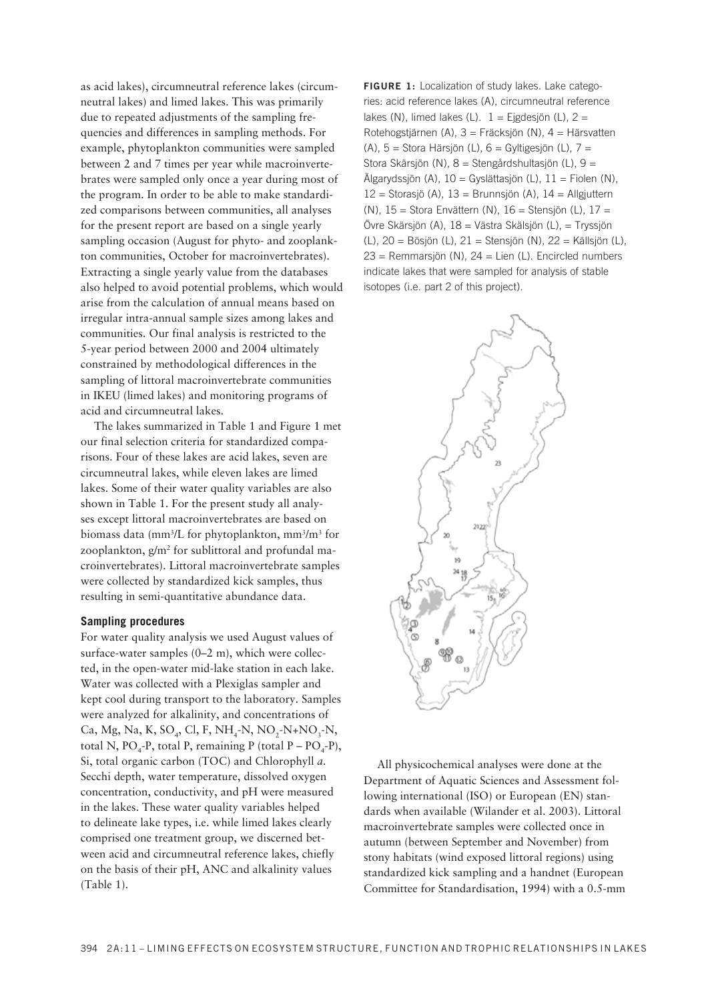as acid lakes), circumneutral reference lakes (circumneutral lakes) and limed lakes. This was primarily due to repeated adjustments of the sampling frequencies and differences in sampling methods. For example, phytoplankton communities were sampled between 2 and 7 times per year while macroinvertebrates were sampled only once a year during most of the program. In order to be able to make standardized comparisons between communities, all analyses for the present report are based on a single yearly sampling occasion (August for phyto- and zooplankton communities, October for macroinvertebrates). Extracting a single yearly value from the databases also helped to avoid potential problems, which would arise from the calculation of annual means based on irregular intra-annual sample sizes among lakes and communities. Our final analysis is restricted to the 5-year period between 2000 and 2004 ultimately constrained by methodological differences in the sampling of littoral macroinvertebrate communities in IKEU (limed lakes) and monitoring programs of acid and circumneutral lakes.

The lakes summarized in Table 1 and Figure 1 met our final selection criteria for standardized comparisons. Four of these lakes are acid lakes, seven are circumneutral lakes, while eleven lakes are limed lakes. Some of their water quality variables are also shown in Table 1. For the present study all analyses except littoral macroinvertebrates are based on biomass data (mm<sup>3</sup>/L for phytoplankton, mm<sup>3</sup>/m<sup>3</sup> for zooplankton, g/m<sup>2</sup> for sublittoral and profundal macroinvertebrates). Littoral macroinvertebrate samples were collected by standardized kick samples, thus resulting in semi-quantitative abundance data.

### **Sampling procedures**

For water quality analysis we used August values of surface-water samples  $(0-2 \text{ m})$ , which were collected, in the open-water mid-lake station in each lake. Water was collected with a Plexiglas sampler and kept cool during transport to the laboratory. Samples were analyzed for alkalinity, and concentrations of Ca, Mg, Na, K, SO<sub>4</sub>, Cl, F, NH<sub>4</sub>-N, NO<sub>2</sub>-N+NO<sub>3</sub>-N, total N,  $PO_{4}$ -P, total P, remaining P (total P –  $PO_{4}$ -P), Si, total organic carbon (TOC) and Chlorophyll a. Secchi depth, water temperature, dissolved oxygen concentration, conductivity, and pH were measured in the lakes. These water quality variables helped to delineate lake types, i.e. while limed lakes clearly comprised one treatment group, we discerned between acid and circumneutral reference lakes, chiefly on the basis of their  $pH$ , ANC and alkalinity values (Table 1).

**FIGURE 1:** Localization of study lakes. Lake categories: acid reference lakes (A), circumneutral reference lakes (N), limed lakes (L).  $1 =$  Ejgdesjön (L),  $2 =$ Rotehogstjärnen (A), 3 = Fräcksjön (N), 4 = Härsvatten (A), 5 = Stora Härsjön (L), 6 = Gyltigesjön (L), 7 = Stora Skärsjön (N), 8 = Stengårdshultasjön (L), 9 = Älgarydssjön (A), 10 = Gyslättasjön (L), 11 = Fiolen (N),  $12 =$  Storasjö (A),  $13 =$  Brunnsjön (A),  $14 =$  Allgjuttern (N), 15 = Stora Envättern (N), 16 = Stensjön (L), 17 = Övre Skärsjön (A), 18 = Västra Skälsjön (L), = Tryssjön (L), 20 = Bösjön (L), 21 = Stensjön (N), 22 = Källsjön (L),  $23$  = Remmarsjön (N),  $24$  = Lien (L). Encircled numbers indicate lakes that were sampled for analysis of stable isotopes (i.e. part 2 of this project).



All physicochemical analyses were done at the Department of Aquatic Sciences and Assessment following international (ISO) or European (EN) stan dards when available (Wilander et al. 2003). Littoral macroinvertebrate samples were collected once in autumn (between September and November) from stony habitats (wind exposed littoral regions) using standardized kick sampling and a handnet (European Committee for Standardisation, 1994) with a 0.5-mm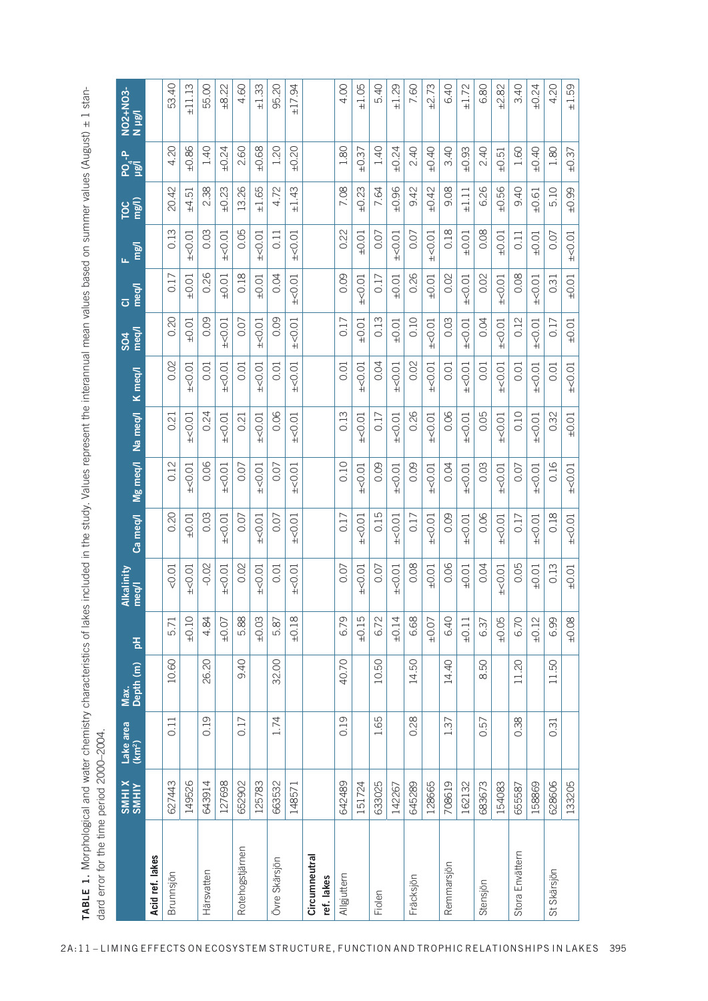|                             | XIHINS<br>SMHIX | Lake area<br>(km <sup>2</sup> ) | Depth (m)<br>Max. | 품          | Alkalinity<br>meg/l | Ca meq/l    | Mg meq/l    | Na meq/l    | K meq/l     | meg/l<br>\$04 | meq/l<br>$\overline{\textbf{O}}$ | mg/l<br>ш.  | mg/l)<br>TOC | ၣႍၟ<br>ၣႍၭ | NO2+NO3-<br>N µg/l |
|-----------------------------|-----------------|---------------------------------|-------------------|------------|---------------------|-------------|-------------|-------------|-------------|---------------|----------------------------------|-------------|--------------|------------|--------------------|
| Acid ref. lakes             |                 |                                 |                   |            |                     |             |             |             |             |               |                                  |             |              |            |                    |
| Brunnsjön                   | 627443          | 0.11                            | 10.60             | 5.71       | < 0.01              | 0.20        | 0.12        | 0.21        | 0.02        | 0.20          | 0.17                             | 0.13        | 20.42        | 4.20       | 53.40              |
|                             | 149526          |                                 |                   | $\pm 0.10$ | $\pm$ <0.01         | ±0.01       | $\pm$ <0.01 | $\pm$ <0.01 | $\pm$ <0.01 | $\pm 0.01$    | ±0.01                            | $\pm$ <0.01 | ±4.51        | ±0.86      | ±11.13             |
| Härsvatten                  | 643914          | 0.19                            | 20<br>26.         | 4.84       | $-0.02$             | 0.03        | 0.06        | 0.24        | 0.01        | 0.09          | 0.26                             | 0.03        | 2.38         | 1.40       | 55.00              |
|                             | 127698          |                                 |                   | $\pm 0.07$ | $\pm$ <0.01         | $\pm$ <0.01 | $\pm$ <0.01 | $\pm$ <0.01 | $\pm$ <0.01 | ± < 0.01      | ±0.01                            | $\pm$ <0.01 | ±0.23        | ±0.24      | ±8.22              |
| Rotehogstjärnen             | 652902          | 0.17                            | 9.40              | 5.88       | 0.02                | 0.07        | 0.07        | 0.21        | 0.01        | 0.07          | 0.18                             | 0.05        | 13.26        | 2.60       | 4.60               |
|                             | 125783          |                                 |                   | ±0.03      | $\pm$ <0.01         | $\pm$ <0.01 | $\pm$ <0.01 | $\pm$ <0.01 | $\pm$ <0.01 | $\pm$ <0.01   | $\pm 0.01$                       | $\pm$ <0.01 | ±1.65        | ±0.68      | ±1.33              |
| Övre Skärsjön               | 663532          | 1.74                            | 32.00             | 5.87       | 0.01                | 0.07        | 0.07        | 0.06        | 0.01        | 0.09          | 0.04                             | 0.11        | 4.72         | 1.20       | 95.20              |
|                             | 148571          |                                 |                   | ±0.18      | $\pm$ <0.01         | $\pm$ <0.01 | $\pm$ <0.01 | $\pm$ <0.01 | $\pm$ <0.01 | $\pm$ <0.01   | $\pm$ <0.01                      | $\pm$ <0.01 | ±1.43        | $\pm 0.20$ | ±17.94             |
| Circumneutral<br>ref. lakes |                 |                                 |                   |            |                     |             |             |             |             |               |                                  |             |              |            |                    |
| Allgjuttern                 | 642489          | 0.19                            | 40.70             | 6.79       | 0.07                | 0.17        | 0.10        | 0.13        | 0.01        | 0.17          | 0.09                             | 0.22        | 7.08         | 1.80       | 4.00               |
|                             | 151724          |                                 |                   | ±0.15      | $\pm$ <0.01         | $\pm$ <0.01 | $\pm$ <0.01 | $\pm$ <0.01 | $\pm$ <0.01 | ±0.01         | $\pm$ <0.01                      | ±0.01       | ±0.23        | ±0.37      | ±1.05              |
| Fiolen                      | 633025          | 1.65                            | 10.50             | 6.72       | 0.07                | 0.15        | 0.09        | 0.17        | 0.04        | 0.13          | 0.17                             | 0.07        | 7.64         | 1.40       | 5.40               |
|                             | 142267          |                                 |                   | $\pm 0.14$ | $\pm$ <0.01         | $\pm$ <0.01 | $\pm$ <0.01 | $\pm$ <0.01 | $\pm$ <0.01 | ±0.01         | ±0.01                            | $\pm$ <0.01 | $-0.96$      | ±0.24      | ±1.29              |
| Fräcksjön                   | 645289          | 0.28                            | 14.50             | 6.68       | 0.08                | 0.17        | 0.09        | 0.26        | 0.02        | 0.10          | 0.26                             | 0.07        | 9.42         | 2.40       | 7.60               |
|                             | 128665          |                                 |                   | ±0.07      | ±0.01               | $\pm$ <0.01 | $\pm$ <0.01 | $\pm$ <0.01 | $\pm$ <0.01 | $\pm$ <0.01   | ±0.01                            | $\pm$ <0.01 | ±0.42        | $+0.40$    | ±2.73              |
| Remmarsjön                  | 708619          | 1.37                            | 14.40             | 6.40       | 0.06                | 0.09        | 0.04        | 0.06        | 0.01        | 0.03          | 0.02                             | 0.18        | 9.08         | 3.40       | 6.40               |
|                             | 162132          |                                 |                   | $\pm 0.11$ | ±0.01               | $\pm$ <0.01 | $\pm$ <0.01 | $\pm$ <0.01 | $\pm$ <0.01 | $\pm$ <0.01   | $\pm$ <0.01                      | ±0.01       | $\pm 1.11$   | ±0.93      | ±1.72              |
| Stensjön                    | 683673          | 0.57                            | 50<br>∞           | 6.37       | 0.04                | 0.06        | 0.03        | 0.05        | 0.01        | 0.04          | 0.02                             | 0.08        | 6.26         | 2.40       | 6.80               |
|                             | 154083          |                                 |                   | ±0.05      | $\pm$ <0.01         | $\pm$ <0.01 | $\pm$ <0.01 | $\pm$ <0.01 | $\pm$ <0.01 | $\pm$ <0.01   | $\pm$ <0.01                      | ±0.01       | ±0.56        | ±0.51      | ±2.82              |
| Stora Envättern             | 655587          | 0.38                            | 11.20             | 6.70       | 0.05                | 0.17        | 0.07        | 0.10        | 0.01        | 0.12          | 0.08                             | 0.11        | 9.40         | 1.60       | 3.40               |
|                             | 158869          |                                 |                   | ±0.12      | $\pm 0.01$          | $\pm$ <0.01 | $\pm$ <0.01 | $\pm$ <0.01 | $\pm$ <0.01 | $\pm$ <0.01   | $\pm$ <0.01                      | ±0.01       | ±0.61        | $\pm 0.40$ | ±0.24              |
| St Skärsjön                 | 628606          | 0.31                            | SO.<br>$\exists$  | 6.99       | 0.13                | 0.18        | 0.16        | 0.32        | 0.01        | 0.17          | 0.31                             | 0.07        | 5.10         | 1.80       | 4.20               |
|                             | 133205          |                                 |                   | ±0.08      | ±0.01               | $\pm$ <0.01 | $\pm$ <0.01 | ±0.01       | $\pm$ <0.01 | ±0.01         | ±0.01                            | $\pm$ <0.01 | ±0.99        | ±0.37      | ±1.59              |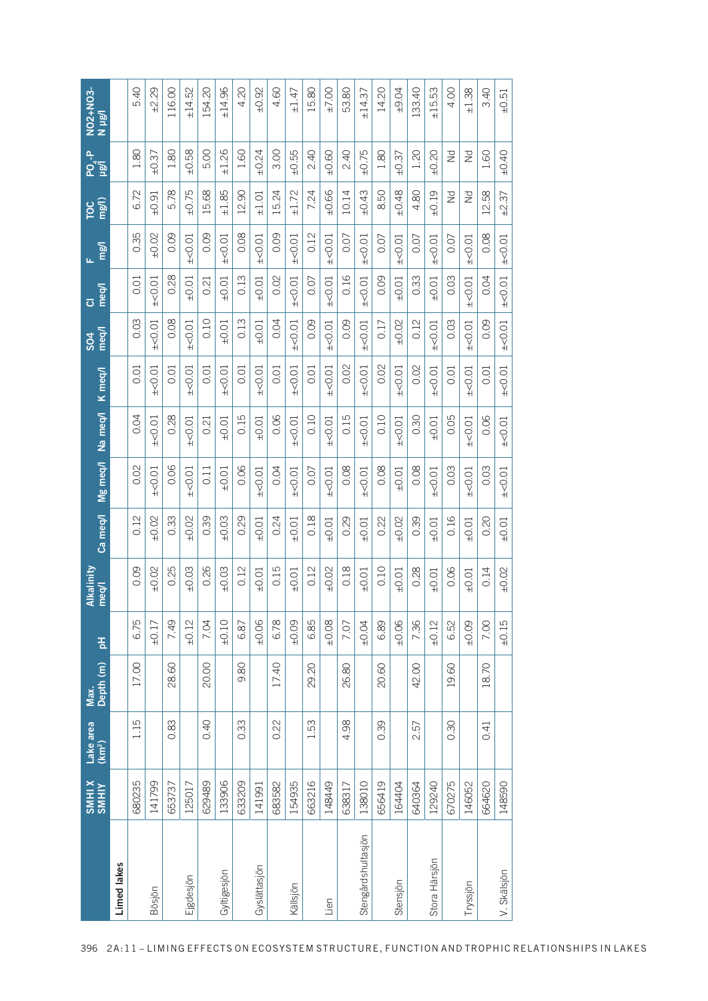| 0.35<br>0.09<br>0.08<br>$\pm 0.02$<br>0.09<br>0.09<br>0.12<br>$\pm$ <0.01<br>$\pm$ <0.01<br>$\pm$ <0.01<br>$\pm$ <0.01<br>0.07<br>$\pm$ <0.01<br>0.07<br>$\pm$ <0.01<br>$\pm$ <0.01<br>0.07<br>$\pm$ <0.01<br>0.07<br>0.28<br>0.13<br>0.16<br>$\pm 0.01$<br>0.02<br>0.09<br>0.33<br>0.01<br>±0.01<br>0.03<br>$\pm$ <0.01<br>$\pm$ <0.01<br>0.07<br>$\pm$ <0.01<br>$\pm$ <0.01<br>±0.01<br>0.21<br>±0.01<br>±0.01<br>0.03<br>0.08<br>0.10<br>0.13<br>0.04<br>0.09<br>0.12<br>$\pm$ <0.01<br>0.09<br>±0.02<br>0.03<br>±0.01<br>±0.01<br>$\pm$ <0.01<br>$\pm$ <0.01<br>$\pm$ <0.01<br>0.17<br>$\pm$ <0.01<br>$\pm$ <0.01<br>0.02<br>0.02<br>0.02<br>$\pm$ <0.01<br>0.01<br>0.01<br>$\pm$ <0.01<br>0.01<br>$\pm$ <0.01<br>0.01<br>$\pm$ <0.01<br>$\pm$ <0.01<br>$\pm$ <0.01<br>$\pm$ <0.01<br>$\pm$ <0.01<br>0.01<br>0.01<br>$\pm$ <0.01<br>0.01<br>0.28<br>0.15<br>0.06<br>0.15<br>0.04<br>0.10<br>0.10<br>0.05<br>±<0.01<br>$\pm$ <0.01<br>±0.01<br>±0.01<br>$\pm$ <0.01<br>$\pm$ <0.01<br>$\pm$ <0.01<br>$\pm$ <0.01<br>0.30<br>±0.01<br>0.21<br>0.06<br>0.02<br>0.06<br>0.04<br>0.08<br>$\pm 0.01$<br>0.08<br>0.08<br>0.03<br>$\pm$ <0.01<br>$\pm$ <0.01<br>$\pm$ 0.01<br>$\pm$ <0.01<br>0.11<br>0.07<br>$\pm$ <0.01<br>$\pm$ <0.01<br>±0.01<br>$\pm$ <0.01<br>0.12<br>$\pm 0.03$<br>0.33<br>±0.02<br>0.39<br>0.24<br>0.16<br>±0.02<br>0.29<br>0.18<br>0.29<br>0.22<br>±0.02<br>0.39<br>±0.01<br>±0.01<br>±0.01<br>±0.01<br>±0.01<br>0.09<br>0.25<br>0.26<br>0.15<br>0.18<br>±0.02<br>±0.03<br>±0.03<br>0.12<br>0.12<br>±0.02<br>0.10<br>0.28<br>0.06<br>±0.01<br>±0.01<br>±0.01<br>±0.01<br>±0.01<br>6.78<br>6.75<br>7.49<br>±0.10<br>$+0.06$<br>6.85<br>$\pm 0.08$<br>7.36<br>$\pm 0.12$<br>7.04<br>$\pm 0.09$<br>±0.06<br>±0.17<br>$+0.04$<br>6.89<br>$\pm 0.12$<br>6.52<br>6.87<br>7.07<br>17.00<br>28.60<br>20.00<br>80<br>17.40<br>29.20<br>26.80<br>20.60<br>42.00<br>19.60<br>ெ<br>5<br>0.83<br>0.40<br>98<br>0.33<br>0.22<br>1.53<br>0.39<br>57<br>0.30<br>Ë<br>4.<br>$\sim$<br>680235<br>133906<br>154935<br>629489<br>633209<br>683582<br>663216<br>670275<br>141799<br>148449<br>138010<br>656419<br>640364<br>129240<br>146052<br>653737<br>125017<br>164404<br>141991<br>638317<br>Stengårdshultasjön<br>Stora Härsjön<br>Limed lakes<br>Gyslättasjön<br>Gyltigesjön<br>Ejgdesjön<br>Stensjön<br>Källsjön<br>Bösjön<br>Lien |          | XIHINS<br>SMHIX | Lake area<br>(km <sup>2</sup> ) | Depth (m)<br>Max. | 품          | <b>Alkalinity</b><br>meq/l | Ca meq/l | Mg meq/l    | Na meq/l    | $K$ meq/l   | meq/l<br>\$04 | meq/l<br>$\overline{\textbf{O}}$ | mg/l<br>ίú, | TOC<br>mg/l)   | Po <sub>4</sub> -P<br>Ligh | NO2+NO3-<br>N µg/l |
|-------------------------------------------------------------------------------------------------------------------------------------------------------------------------------------------------------------------------------------------------------------------------------------------------------------------------------------------------------------------------------------------------------------------------------------------------------------------------------------------------------------------------------------------------------------------------------------------------------------------------------------------------------------------------------------------------------------------------------------------------------------------------------------------------------------------------------------------------------------------------------------------------------------------------------------------------------------------------------------------------------------------------------------------------------------------------------------------------------------------------------------------------------------------------------------------------------------------------------------------------------------------------------------------------------------------------------------------------------------------------------------------------------------------------------------------------------------------------------------------------------------------------------------------------------------------------------------------------------------------------------------------------------------------------------------------------------------------------------------------------------------------------------------------------------------------------------------------------------------------------------------------------------------------------------------------------------------------------------------------------------------------------------------------------------------------------------------------------------------------------------------------------------------------------------------------------------------------------------------------------------------------------------------------------------------------------------------------|----------|-----------------|---------------------------------|-------------------|------------|----------------------------|----------|-------------|-------------|-------------|---------------|----------------------------------|-------------|----------------|----------------------------|--------------------|
|                                                                                                                                                                                                                                                                                                                                                                                                                                                                                                                                                                                                                                                                                                                                                                                                                                                                                                                                                                                                                                                                                                                                                                                                                                                                                                                                                                                                                                                                                                                                                                                                                                                                                                                                                                                                                                                                                                                                                                                                                                                                                                                                                                                                                                                                                                                                           |          |                 |                                 |                   |            |                            |          |             |             |             |               |                                  |             |                |                            |                    |
|                                                                                                                                                                                                                                                                                                                                                                                                                                                                                                                                                                                                                                                                                                                                                                                                                                                                                                                                                                                                                                                                                                                                                                                                                                                                                                                                                                                                                                                                                                                                                                                                                                                                                                                                                                                                                                                                                                                                                                                                                                                                                                                                                                                                                                                                                                                                           |          |                 |                                 |                   |            |                            |          |             |             |             |               |                                  |             | 6.72           | 1.80                       | 5.40               |
|                                                                                                                                                                                                                                                                                                                                                                                                                                                                                                                                                                                                                                                                                                                                                                                                                                                                                                                                                                                                                                                                                                                                                                                                                                                                                                                                                                                                                                                                                                                                                                                                                                                                                                                                                                                                                                                                                                                                                                                                                                                                                                                                                                                                                                                                                                                                           |          |                 |                                 |                   |            |                            |          |             |             |             |               |                                  |             | ±0.91          | ±0.37                      | ±2.29              |
|                                                                                                                                                                                                                                                                                                                                                                                                                                                                                                                                                                                                                                                                                                                                                                                                                                                                                                                                                                                                                                                                                                                                                                                                                                                                                                                                                                                                                                                                                                                                                                                                                                                                                                                                                                                                                                                                                                                                                                                                                                                                                                                                                                                                                                                                                                                                           |          |                 |                                 |                   |            |                            |          |             |             |             |               |                                  |             | 5.78           | 1.80                       | 116.00             |
|                                                                                                                                                                                                                                                                                                                                                                                                                                                                                                                                                                                                                                                                                                                                                                                                                                                                                                                                                                                                                                                                                                                                                                                                                                                                                                                                                                                                                                                                                                                                                                                                                                                                                                                                                                                                                                                                                                                                                                                                                                                                                                                                                                                                                                                                                                                                           |          |                 |                                 |                   |            |                            |          |             |             |             |               |                                  |             | $\pm 0.75$     | ±0.58                      | ±14.52             |
|                                                                                                                                                                                                                                                                                                                                                                                                                                                                                                                                                                                                                                                                                                                                                                                                                                                                                                                                                                                                                                                                                                                                                                                                                                                                                                                                                                                                                                                                                                                                                                                                                                                                                                                                                                                                                                                                                                                                                                                                                                                                                                                                                                                                                                                                                                                                           |          |                 |                                 |                   |            |                            |          |             |             |             |               |                                  |             | 15.68          | 5.00                       | 154.20             |
|                                                                                                                                                                                                                                                                                                                                                                                                                                                                                                                                                                                                                                                                                                                                                                                                                                                                                                                                                                                                                                                                                                                                                                                                                                                                                                                                                                                                                                                                                                                                                                                                                                                                                                                                                                                                                                                                                                                                                                                                                                                                                                                                                                                                                                                                                                                                           |          |                 |                                 |                   |            |                            |          |             |             |             |               |                                  |             | ±1.85          | ±1.26                      | ±14.96             |
|                                                                                                                                                                                                                                                                                                                                                                                                                                                                                                                                                                                                                                                                                                                                                                                                                                                                                                                                                                                                                                                                                                                                                                                                                                                                                                                                                                                                                                                                                                                                                                                                                                                                                                                                                                                                                                                                                                                                                                                                                                                                                                                                                                                                                                                                                                                                           |          |                 |                                 |                   |            |                            |          |             |             |             |               |                                  |             | 12.90          | 1.60                       | 4.20               |
|                                                                                                                                                                                                                                                                                                                                                                                                                                                                                                                                                                                                                                                                                                                                                                                                                                                                                                                                                                                                                                                                                                                                                                                                                                                                                                                                                                                                                                                                                                                                                                                                                                                                                                                                                                                                                                                                                                                                                                                                                                                                                                                                                                                                                                                                                                                                           |          |                 |                                 |                   |            |                            |          |             |             |             |               |                                  |             | ±1.01          | ±0.24                      | ±0.92              |
|                                                                                                                                                                                                                                                                                                                                                                                                                                                                                                                                                                                                                                                                                                                                                                                                                                                                                                                                                                                                                                                                                                                                                                                                                                                                                                                                                                                                                                                                                                                                                                                                                                                                                                                                                                                                                                                                                                                                                                                                                                                                                                                                                                                                                                                                                                                                           |          |                 |                                 |                   |            |                            |          |             |             |             |               |                                  |             | 15.24          | 3.00                       | 4.60               |
|                                                                                                                                                                                                                                                                                                                                                                                                                                                                                                                                                                                                                                                                                                                                                                                                                                                                                                                                                                                                                                                                                                                                                                                                                                                                                                                                                                                                                                                                                                                                                                                                                                                                                                                                                                                                                                                                                                                                                                                                                                                                                                                                                                                                                                                                                                                                           |          |                 |                                 |                   |            |                            |          |             |             |             |               |                                  |             | ±1.72          | ±0.55                      | ±1.47              |
|                                                                                                                                                                                                                                                                                                                                                                                                                                                                                                                                                                                                                                                                                                                                                                                                                                                                                                                                                                                                                                                                                                                                                                                                                                                                                                                                                                                                                                                                                                                                                                                                                                                                                                                                                                                                                                                                                                                                                                                                                                                                                                                                                                                                                                                                                                                                           |          |                 |                                 |                   |            |                            |          |             |             |             |               |                                  |             | 7.24           | 2.40                       | 15.80              |
|                                                                                                                                                                                                                                                                                                                                                                                                                                                                                                                                                                                                                                                                                                                                                                                                                                                                                                                                                                                                                                                                                                                                                                                                                                                                                                                                                                                                                                                                                                                                                                                                                                                                                                                                                                                                                                                                                                                                                                                                                                                                                                                                                                                                                                                                                                                                           |          |                 |                                 |                   |            |                            |          |             |             |             |               |                                  |             | ±0.66          | $+0.60$                    | ±7.00              |
|                                                                                                                                                                                                                                                                                                                                                                                                                                                                                                                                                                                                                                                                                                                                                                                                                                                                                                                                                                                                                                                                                                                                                                                                                                                                                                                                                                                                                                                                                                                                                                                                                                                                                                                                                                                                                                                                                                                                                                                                                                                                                                                                                                                                                                                                                                                                           |          |                 |                                 |                   |            |                            |          |             |             |             |               |                                  |             | 10.14          | 2.40                       | 53.80              |
|                                                                                                                                                                                                                                                                                                                                                                                                                                                                                                                                                                                                                                                                                                                                                                                                                                                                                                                                                                                                                                                                                                                                                                                                                                                                                                                                                                                                                                                                                                                                                                                                                                                                                                                                                                                                                                                                                                                                                                                                                                                                                                                                                                                                                                                                                                                                           |          |                 |                                 |                   |            |                            |          |             |             |             |               |                                  |             | ±0.43          | $\pm 0.75$                 | ±14.37             |
|                                                                                                                                                                                                                                                                                                                                                                                                                                                                                                                                                                                                                                                                                                                                                                                                                                                                                                                                                                                                                                                                                                                                                                                                                                                                                                                                                                                                                                                                                                                                                                                                                                                                                                                                                                                                                                                                                                                                                                                                                                                                                                                                                                                                                                                                                                                                           |          |                 |                                 |                   |            |                            |          |             |             |             |               |                                  |             | 8.50           | 1.80                       | 14.20              |
|                                                                                                                                                                                                                                                                                                                                                                                                                                                                                                                                                                                                                                                                                                                                                                                                                                                                                                                                                                                                                                                                                                                                                                                                                                                                                                                                                                                                                                                                                                                                                                                                                                                                                                                                                                                                                                                                                                                                                                                                                                                                                                                                                                                                                                                                                                                                           |          |                 |                                 |                   |            |                            |          |             |             |             |               |                                  |             | $\pm 0.48$     | ±0.37                      | ±9.04              |
|                                                                                                                                                                                                                                                                                                                                                                                                                                                                                                                                                                                                                                                                                                                                                                                                                                                                                                                                                                                                                                                                                                                                                                                                                                                                                                                                                                                                                                                                                                                                                                                                                                                                                                                                                                                                                                                                                                                                                                                                                                                                                                                                                                                                                                                                                                                                           |          |                 |                                 |                   |            |                            |          |             |             |             |               |                                  |             | 4.80           | 1.20                       | 133.40             |
|                                                                                                                                                                                                                                                                                                                                                                                                                                                                                                                                                                                                                                                                                                                                                                                                                                                                                                                                                                                                                                                                                                                                                                                                                                                                                                                                                                                                                                                                                                                                                                                                                                                                                                                                                                                                                                                                                                                                                                                                                                                                                                                                                                                                                                                                                                                                           |          |                 |                                 |                   |            |                            |          |             |             |             |               |                                  |             | $\pm 0.19$     | $\pm 0.20$                 | ±15.53             |
|                                                                                                                                                                                                                                                                                                                                                                                                                                                                                                                                                                                                                                                                                                                                                                                                                                                                                                                                                                                                                                                                                                                                                                                                                                                                                                                                                                                                                                                                                                                                                                                                                                                                                                                                                                                                                                                                                                                                                                                                                                                                                                                                                                                                                                                                                                                                           |          |                 |                                 |                   |            |                            |          |             |             |             |               |                                  |             | $\geq$         | $\geq$                     | 4.00               |
|                                                                                                                                                                                                                                                                                                                                                                                                                                                                                                                                                                                                                                                                                                                                                                                                                                                                                                                                                                                                                                                                                                                                                                                                                                                                                                                                                                                                                                                                                                                                                                                                                                                                                                                                                                                                                                                                                                                                                                                                                                                                                                                                                                                                                                                                                                                                           | Tryssjön |                 |                                 |                   | $\pm 0.09$ | ±0.01                      | ±0.01    | $\pm$ <0.01 | $\pm$ <0.01 | $\pm$ <0.01 | $\pm$ <0.01   | $\pm$ <0.01                      | $\pm$ <0.01 | $\overline{z}$ | N                          | ±1.38              |
| 0.08<br>0.04<br>0.09<br>0.01<br>0.06<br>0.03<br>0.20<br>0.14<br>7.00<br>18.70<br>0.41<br>664620                                                                                                                                                                                                                                                                                                                                                                                                                                                                                                                                                                                                                                                                                                                                                                                                                                                                                                                                                                                                                                                                                                                                                                                                                                                                                                                                                                                                                                                                                                                                                                                                                                                                                                                                                                                                                                                                                                                                                                                                                                                                                                                                                                                                                                           |          |                 |                                 |                   |            |                            |          |             |             |             |               |                                  |             | 12.58          | 1.60                       | 3.40               |
| $\pm$ <0.01<br>$\pm$ <0.01<br>$\pm$ <0.01<br>$\pm$ <0.01<br>$\pm$ <0.01<br>$\pm$ <0.01<br>±0.01<br>±0.02<br>±0.15<br>148590<br>V. Skälsjön                                                                                                                                                                                                                                                                                                                                                                                                                                                                                                                                                                                                                                                                                                                                                                                                                                                                                                                                                                                                                                                                                                                                                                                                                                                                                                                                                                                                                                                                                                                                                                                                                                                                                                                                                                                                                                                                                                                                                                                                                                                                                                                                                                                                |          |                 |                                 |                   |            |                            |          |             |             |             |               |                                  |             | ±2.37          | $\pm 0.40$                 | ±0.51              |
| 2A:11-LIMING EFFECTS ON ECOSYSTEM STRUCTURE, FUNCTION AND TROPHIC RELATIONSHIPS IN LAKES                                                                                                                                                                                                                                                                                                                                                                                                                                                                                                                                                                                                                                                                                                                                                                                                                                                                                                                                                                                                                                                                                                                                                                                                                                                                                                                                                                                                                                                                                                                                                                                                                                                                                                                                                                                                                                                                                                                                                                                                                                                                                                                                                                                                                                                  |          |                 |                                 |                   |            |                            |          |             |             |             |               |                                  |             |                |                            |                    |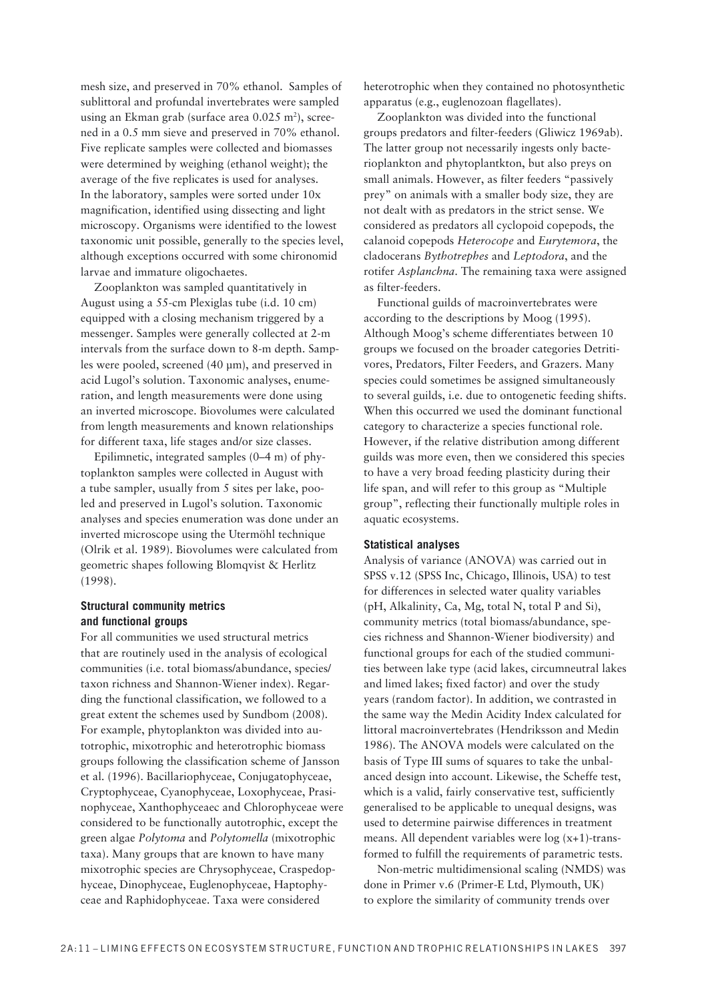mesh size, and preserved in 70% ethanol. Samples of sublittoral and profundal invertebrates were sampled using an Ekman grab (surface area  $0.025$  m<sup>2</sup>), screened in a 0.5 mm sieve and preserved in 70% ethanol. Five replicate samples were collected and biomasses were determined by weighing (ethanol weight); the average of the five replicates is used for analyses. In the laboratory, samples were sorted under 10x magnification, identified using dissecting and light microscopy. Organisms were identified to the lowest taxonomic unit possible, generally to the species level, although exceptions occurred with some chironomid larvae and immature oligochaetes.

Zooplankton was sampled quantitatively in August using a 55-cm Plexiglas tube (i.d. 10 cm) equipped with a closing mechanism triggered by a messenger. Samples were generally collected at 2-m intervals from the surface down to 8-m depth. Samples were pooled, screened (40 μm), and preserved in acid Lugol's solution. Taxonomic analyses, enumeration, and length measurements were done using an inverted microscope. Biovolumes were calculated from length measurements and known relationships for different taxa, life stages and/or size classes.

Epilimnetic, integrated samples  $(0-4 \text{ m})$  of phytoplankton samples were collected in August with a tube sampler, usually from 5 sites per lake, pooled and preserved in Lugol's solution. Taxonomic analyses and species enumeration was done under an inverted microscope using the Utermöhl technique (Olrik et al. 1989). Biovolumes were calculated from geometric shapes following Blomqvist & Herlitz (1998).

### **Structural community metrics and functional groups**

For all communities we used structural metrics that are routinely used in the analysis of ecological communities (i.e. total biomass/abundance, species/ taxon richness and Shannon-Wiener index). Regarding the functional classification, we followed to a great extent the schemes used by Sundbom (2008). For example, phytoplankton was divided into autotrophic, mixotrophic and heterotrophic biomass groups following the classification scheme of Jansson et al. (1996). Bacillariophyceae, Conjugatophyceae, Cryptophyceae, Cyanophyceae, Loxophyceae, Prasinophyceae, Xanthophyceaec and Chlorophyceae were considered to be functionally autotrophic, except the green algae *Polytoma* and *Polytomella* (mixotrophic taxa). Many groups that are known to have many mixotrophic species are Chrysophyceae, Craspedophyceae, Dinophyceae, Euglenophyceae, Haptophyceae and Raphidophyceae. Taxa were considered

heterotrophic when they contained no photosynthetic apparatus (e.g., euglenozoan flagellates).

Zooplankton was divided into the functional groups predators and filter-feeders (Gliwicz 1969ab). The latter group not necessarily ingests only bacterioplankton and phytoplantkton, but also preys on small animals. However, as filter feeders "passively prey" on animals with a smaller body size, they are not dealt with as predators in the strict sense. We considered as predators all cyclopoid copepods, the calanoid copepods *Heterocope* and *Eurytemora*, the cladocerans *Bythotrephes* and *Leptodora*, and the rotifer *Asplanchna*. The remaining taxa were assigned as filter-feeders.

Functional guilds of macroinvertebrates were according to the descriptions by Moog (1995). Although Moog's scheme differentiates between 10 groups we focused on the broader categories Detritivores, Predators, Filter Feeders, and Grazers. Many species could sometimes be assigned simultaneously to several guilds, i.e. due to ontogenetic feeding shifts. When this occurred we used the dominant functional category to characterize a species functional role. However, if the relative distribution among different guilds was more even, then we considered this species to have a very broad feeding plasticity during their life span, and will refer to this group as "Multiple group", reflecting their functionally multiple roles in aquatic ecosystems.

### **Statistical analyses**

Analysis of variance (ANOVA) was carried out in SPSS v.12 (SPSS Inc, Chicago, Illinois, USA) to test for differences in selected water quality variables (pH, Alkalinity, Ca, Mg, total N, total P and Si), community metrics (total biomass/abundance, species richness and Shannon-Wiener biodiversity) and functional groups for each of the studied communities between lake type (acid lakes, circumneutral lakes and limed lakes; fixed factor) and over the study years (random factor). In addition, we contrasted in the same way the Medin Acidity Index calculated for littoral macroinvertebrates (Hendriksson and Medin 1986). The ANOVA models were calculated on the basis of Type III sums of squares to take the unbalanced design into account. Likewise, the Scheffe test, which is a valid, fairly conservative test, sufficiently generalised to be applicable to unequal designs, was used to determine pairwise differences in treatment means. All dependent variables were log (x+1)-transformed to fulfill the requirements of parametric tests.

Non-metric multidimensional scaling (NMDS) was done in Primer v.6 (Primer-E Ltd, Plymouth, UK) to explore the similarity of community trends over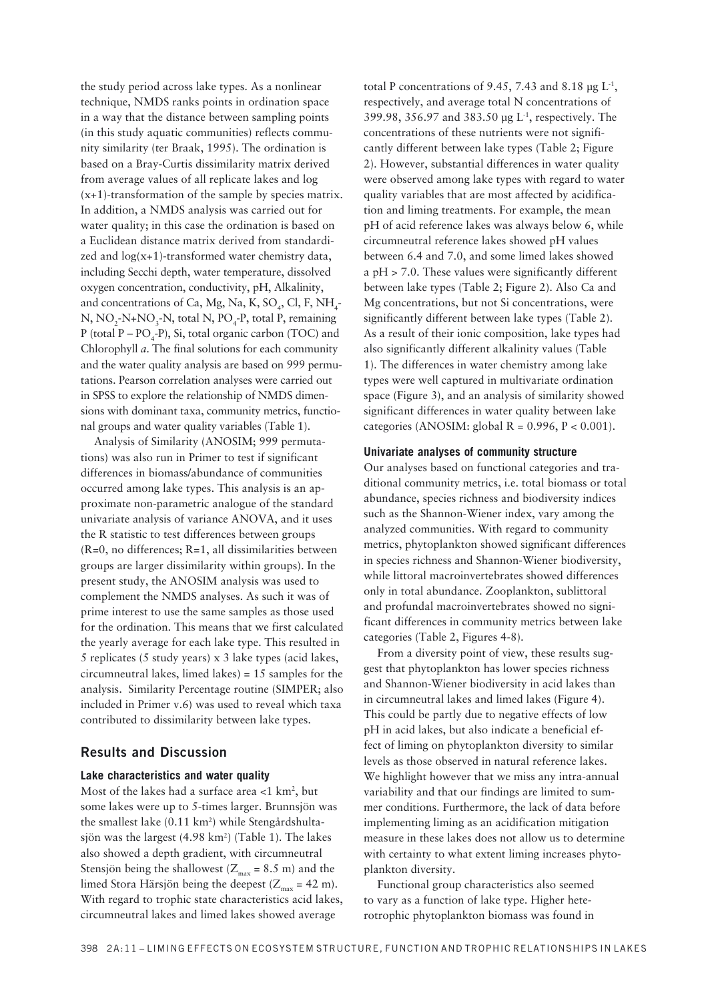the study period across lake types. As a nonlinear technique, NMDS ranks points in ordination space in a way that the distance between sampling points (in this study aquatic communities) reflects community similarity (ter Braak, 1995). The ordination is based on a Bray-Curtis dissimilarity matrix derived from average values of all replicate lakes and log  $(x+1)$ -transformation of the sample by species matrix. In addition, a NMDS analysis was carried out for water quality; in this case the ordination is based on a Euclidean distance matrix derived from standardized and  $log(x+1)$ -transformed water chemistry data, including Secchi depth, water temperature, dissolved oxygen concentration, conductivity, pH, Alkalinity, and concentrations of Ca, Mg, Na, K, SO<sub>4</sub>, Cl, F, NH<sub>4</sub>-N, NO<sub>2</sub>-N+NO<sub>3</sub>-N, total N, PO<sub>4</sub>-P, total P, remaining P (total P – PO<sub>4</sub>-P), Si, total organic carbon (TOC) and Chlorophyll a. The final solutions for each community and the water quality analysis are based on 999 permutations. Pearson correlation analyses were carried out in SPSS to explore the relationship of NMDS dimensions with dominant taxa, community metrics, functional groups and water quality variables (Table 1).

Analysis of Similarity (ANOSIM; 999 permutations) was also run in Primer to test if significant differences in biomass/abundance of communities occurred among lake types. This analysis is an approximate non-parametric analogue of the standard univariate analysis of variance ANOVA, and it uses the R statistic to test differences between groups  $(R=0, no differences; R=1, all dissimilarities between$ groups are larger dissimilarity within groups). In the present study, the ANOSIM analysis was used to complement the NMDS analyses. As such it was of prime interest to use the same samples as those used for the ordination. This means that we first calculated the yearly average for each lake type. This resulted in 5 replicates (5 study years)  $x$  3 lake types (acid lakes, circumneutral lakes, limed lakes) =  $15$  samples for the analysis. Similarity Percentage routine (SIMPER; also included in Primer v.6) was used to reveal which taxa contributed to dissimilarity between lake types.

### **Results and Discussion**

### Lake characteristics and water quality

Most of the lakes had a surface area  $<$ 1 km<sup>2</sup>, but some lakes were up to 5-times larger. Brunnsjön was the smallest lake (0.11 km<sup>2</sup>) while Stengårdshultasjön was the largest (4.98 km<sup>2</sup>) (Table 1). The lakes also showed a depth gradient, with circumneutral Stensjön being the shallowest ( $Z_{\text{max}}$  = 8.5 m) and the limed Stora Härsjön being the deepest ( $Z_{\text{max}}$  = 42 m). With regard to trophic state characteristics acid lakes, circumneutral lakes and limed lakes showed average

total P concentrations of 9.45, 7.43 and 8.18  $\mu$ g L<sup>-1</sup>. respectively, and average total N concentrations of 399.98, 356.97 and 383.50 µg L<sup>-1</sup>, respectively. The concentrations of these nutrients were not significantly different between lake types (Table 2; Figure 2). However, substantial differences in water quality were observed among lake types with regard to water quality variables that are most affected by acidification and liming treatments. For example, the mean pH of acid reference lakes was always below 6, while circumneutral reference lakes showed pH values between 6.4 and 7.0, and some limed lakes showed a  $pH > 7.0$ . These values were significantly different between lake types (Table 2; Figure 2). Also Ca and Mg concentrations, but not Si concentrations, were significantly different between lake types (Table 2). As a result of their ionic composition, lake types had also significantly different alkalinity values (Table 1). The differences in water chemistry among lake types were well captured in multivariate ordination space (Figure 3), and an analysis of similarity showed significant differences in water quality between lake categories (ANOSIM: global  $R = 0.996$ ,  $P < 0.001$ ).

### Univariate analyses of community structure

Our analyses based on functional categories and traditional community metrics, i.e. total biomass or total abundance, species richness and biodiversity indices such as the Shannon-Wiener index, vary among the analyzed communities. With regard to community metrics, phytoplankton showed significant differences in species richness and Shannon-Wiener biodiversity, while littoral macroinvertebrates showed differences only in total abundance. Zooplankton, sublittoral and profundal macroinvertebrates showed no significant differences in community metrics between lake categories (Table 2, Figures 4-8).

From a diversity point of view, these results suggest that phytoplankton has lower species richness and Shannon-Wiener biodiversity in acid lakes than in circumneutral lakes and limed lakes (Figure 4). This could be partly due to negative effects of low pH in acid lakes, but also indicate a beneficial effect of liming on phytoplankton diversity to similar levels as those observed in natural reference lakes. We highlight however that we miss any intra-annual variability and that our findings are limited to summer conditions. Furthermore, the lack of data before implementing liming as an acidification mitigation measure in these lakes does not allow us to determine with certainty to what extent liming increases phytoplankton diversity.

Functional group characteristics also seemed to vary as a function of lake type. Higher heterotrophic phytoplankton biomass was found in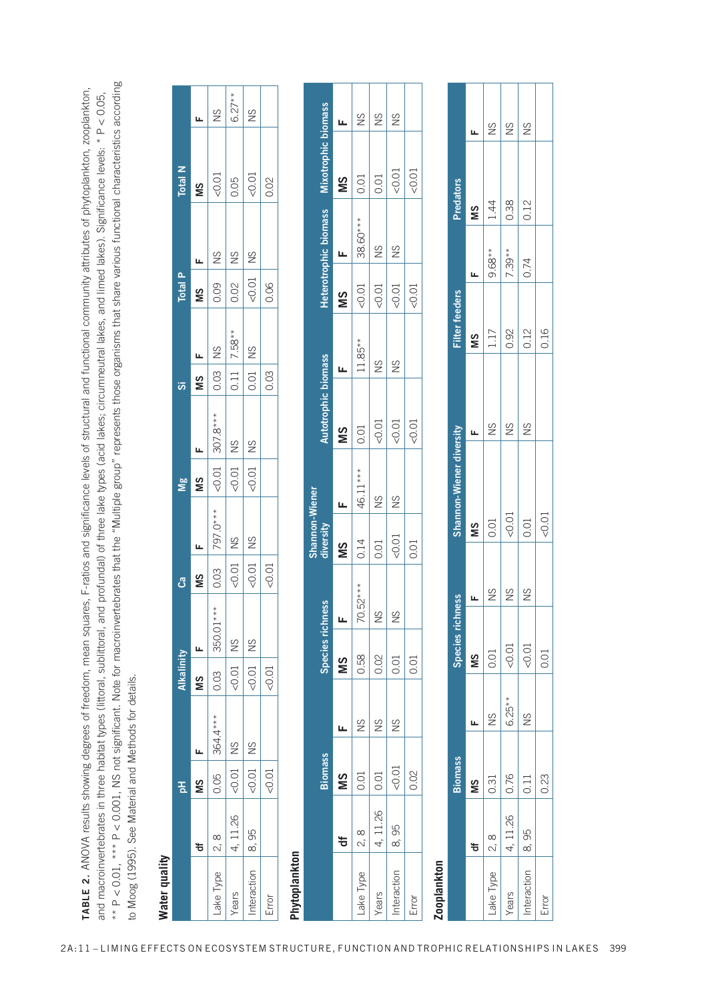|                                                                                                                                                                                                                                                                                               |          | 공                    |               | Alkalinity           |           | ී                                                                                                             |           | <b>Mg</b> |                                                                                                                                            |      |                                                                                                                   | Total P                                                                                                                                                  |             | <b>Total N</b> |               |
|-----------------------------------------------------------------------------------------------------------------------------------------------------------------------------------------------------------------------------------------------------------------------------------------------|----------|----------------------|---------------|----------------------|-----------|---------------------------------------------------------------------------------------------------------------|-----------|-----------|--------------------------------------------------------------------------------------------------------------------------------------------|------|-------------------------------------------------------------------------------------------------------------------|----------------------------------------------------------------------------------------------------------------------------------------------------------|-------------|----------------|---------------|
|                                                                                                                                                                                                                                                                                               | ᇂ        | SM                   |               | MS                   |           | MS                                                                                                            |           | MS        | L                                                                                                                                          | ΜS   |                                                                                                                   | <b>NS</b>                                                                                                                                                |             | ŠΜ             |               |
| -ake Type $\,$   2, 8                                                                                                                                                                                                                                                                         |          | 0.05                 | 364.4***      | 10.03                | 350.01*** |                                                                                                               | 797.0 *** |           |                                                                                                                                            |      |                                                                                                                   |                                                                                                                                                          |             | $\leq 0.01$    | $\frac{8}{2}$ |
| Years                                                                                                                                                                                                                                                                                         | 4, 11.26 | 0.01                 | $\frac{2}{3}$ | $-0.01$ NS           |           | $\begin{array}{c c}\n 0.03 & 797 \\  \hline\n <0.01 & \text{NS} \\  \hline\n <0.01 & \text{NS}\n \end{array}$ |           |           | $\begin{array}{ c c c }\n\hline\n & 307.8*** & \\ \hline\n & 40.01 & \text{NS} & \\ \hline\n & 40.01 & \text{NS} & \\ \hline\n\end{array}$ |      | $\begin{array}{c c}\n 0.03 & \text{NS} \\  \hline\n 0.11 & 7.58^{**} \\  \hline\n 0.01 & \text{NS}\n \end{array}$ | $\begin{array}{c c}\n 0.09 & \text{NS} \\  \hline\n 0.02 & \text{NS} \\  \hline\n \text{0.02} & \text{NS} \\  \hline\n 0.06 & \text{0.06}\n \end{array}$ | $rac{8}{5}$ | 0.05           | $6.27**$      |
| $nteraction$ $8, 95$                                                                                                                                                                                                                                                                          |          | $\overline{0.01}$ NS |               | $\overline{0.01}$ NS |           |                                                                                                               |           |           |                                                                                                                                            |      |                                                                                                                   |                                                                                                                                                          |             | 0.01           | SN            |
| Error                                                                                                                                                                                                                                                                                         |          | 0.01                 |               | 0.01                 |           | $\frac{10.01}{\pi}$                                                                                           |           |           |                                                                                                                                            | 0.03 |                                                                                                                   |                                                                                                                                                          |             | 0.02           |               |
| $\ddot{}}$ , $\ddot{}}$ , $\ddot{}}$ , $\ddot{}}$ , $\ddot{}}$ , $\ddot{}}$ , $\ddot{}}$ , $\ddot{}}$ , $\ddot{}}$ , $\ddot{}}$ , $\ddot{}}$ , $\ddot{}}$ , $\ddot{}}$ , $\ddot{}}$ , $\ddot{}}$ , $\ddot{}}$ , $\ddot{}}$ , $\ddot{}}$ , $\ddot{}}$ , $\ddot{}}$ , $\ddot{}}$ , $\ddot{}}$ , |          |                      |               |                      |           |                                                                                                               |           |           |                                                                                                                                            |      |                                                                                                                   |                                                                                                                                                          |             |                |               |

| Water quality |                    | 품              |               | Alkalinity |                                 | ී             |                             | $\mathbf{\underline{s}}$ |                     | öδ   |                       | Total P |                       | Total N          |                                 |
|---------------|--------------------|----------------|---------------|------------|---------------------------------|---------------|-----------------------------|--------------------------|---------------------|------|-----------------------|---------|-----------------------|------------------|---------------------------------|
|               | ቴ                  | SM             | щ             | SIN        | щ                               | SM            | щ                           | SIN                      | щ                   | SIN  | щ                     | SIN     | Щ                     | SIN              | щ                               |
| Lake Type     | $\infty$<br>ς,     | 0.05           | 364.4***      | 0.03       | $350.01**$                      | 0.03          | 797.0***                    | < 0.01                   | $307.8***$          | 0.03 | SN                    | 0.09    | SN                    | 0.01             | SN                              |
| Years         | 11.26<br>4,        | $-0.01$        | $\frac{8}{2}$ | $-0.01$    | $\frac{\mathrm{C}}{\mathrm{C}}$ | 0.01          | $\frac{8}{1}$               | < 0.01                   | SN                  | 0.11 | 7.58**                | 0.02    | $\frac{8}{2}$         | 0.05             | $6.27**$                        |
| Interaction   | 95<br>$\infty$     | 0.01           | $\frac{8}{2}$ | $-0.01$    | $\frac{8}{2}$                   | < 0.01        | $\frac{8}{2}$               | 0.01                     | $\frac{8}{2}$       | 0.01 | $\frac{8}{2}$         | $-0.01$ | $\frac{8}{2}$         | 0.01             | $\frac{8}{2}$                   |
| Error         |                    | < 0.01         |               | $-0.01$    |                                 | < 0.01        |                             |                          |                     | 0.03 |                       | 0.06    |                       | 0.02             |                                 |
| Phytoplankton |                    |                |               |            |                                 |               |                             |                          |                     |      |                       |         |                       |                  |                                 |
|               |                    | <b>Biomass</b> |               |            | Species richness                |               | Shannon-Wiener<br>diversity |                          | Autotrophic biomass |      |                       |         | Heterotrophic biomass |                  | Mixotrophic biomass             |
|               |                    |                |               |            |                                 |               |                             |                          |                     |      |                       |         |                       |                  |                                 |
|               | ㅎ                  | SM             | щ             | SM         | щ                               |               | SM                          | щ                        | SM                  | щ    |                       | SM      | щ                     | SM               | щ                               |
| Lake Type     | $\infty$<br>$\sim$ | 0.01           | $\frac{8}{2}$ | 0.58       | 70.                             | 52***         | 0.14                        | 46.11***                 | 0.01                |      | $11.85**$             | 0.01    | 38.60***              | 0.01             | $\frac{8}{1}$                   |
| Years         | 4, 11.26           | 0.01           | $\frac{8}{2}$ | 0.02       | SN                              |               | 0.01                        | $\frac{8}{2}$            | 0.01                | SN   |                       | 0.01    | $\frac{8}{1}$         | 0.01             | $\frac{\mathrm{C}}{\mathrm{C}}$ |
| Interaction   | 95<br>$\infty$     | $-0.01$        | $\frac{8}{2}$ | 0.01       | $\frac{8}{2}$                   |               | < 0.01                      | SN                       | 0.01                | SN   |                       | $-0.01$ | $\frac{8}{2}$         | $-0.01$          | $\frac{8}{2}$                   |
| Error         |                    | 0.02           |               | 0.01       |                                 |               | 0.01                        |                          | 0.01                |      |                       | < 0.01  |                       | < 0.01           |                                 |
| Zooplankton   |                    |                |               |            |                                 |               |                             |                          |                     |      |                       |         |                       |                  |                                 |
|               |                    | <b>Biomass</b> |               |            | Species richn                   | ess           |                             | Shannon-Wiener diversity |                     |      | <b>Filter feeders</b> |         |                       | <b>Predators</b> |                                 |
|               | ₩                  | SM             | Щ             | SM         |                                 | Щ             | SM                          |                          | щ                   |      | SM                    | щ       |                       | SM               | Щ                               |
| Lake Type     | $\infty$<br>N,     | 0.31           | $\frac{8}{2}$ | 0.01       |                                 | $\frac{8}{2}$ | 0.01                        |                          | $\frac{8}{1}$       |      | 117                   |         | $9.68**$              | 1.44             | $\frac{8}{2}$                   |
| Years         | 26<br>$\Xi$<br>4.  | 0.76           | $6.25**$      |            | < 0.01                          | $\frac{8}{2}$ | < 0.01                      |                          | SN                  |      | 0.92                  |         | $7.39**$              | 0.38             | $\frac{8}{2}$                   |
| Interaction   | 95<br>ထၳ           | 0.11           | $\frac{8}{2}$ |            | 0.01                            | $\frac{8}{2}$ | 0.01                        |                          | $\frac{8}{2}$       |      | 0.12                  |         | 0.74                  | 0.12             | $\frac{8}{2}$                   |
| Error         |                    | 0.23           |               | 0.01       |                                 |               | $-0.01$                     |                          |                     |      | 0.16                  |         |                       |                  |                                 |

| <b>Limula Propriation</b> |                               |                |               |                  |               |                          |               |                       |          |                  |               |
|---------------------------|-------------------------------|----------------|---------------|------------------|---------------|--------------------------|---------------|-----------------------|----------|------------------|---------------|
|                           |                               | <b>Biomass</b> |               | Species richness |               | Shannon-Wiener diversity |               | <b>Filter feeders</b> |          | <b>Predators</b> |               |
|                           | ₩                             | ŠM             | Ц             | SM               | Щ             | ŠΜ                       |               | ŠM                    |          | SM               |               |
| Lake Type                 | $\overline{\phantom{0}}$ 2, 8 | 0.31           | $\frac{8}{2}$ | 0.01             | $\frac{8}{2}$ | 0.01                     | $\frac{8}{1}$ | 1.17                  | $9.68**$ | 1.44             | $\frac{8}{2}$ |
| Years                     | 4, 11.26   0.76               |                | $6.25**$      | <0.01            | $\frac{8}{2}$ | $-0.01$                  | $\frac{8}{1}$ | 0.92                  | $7.39**$ | 0.38             | $\frac{8}{2}$ |
| Interaction   8,95        |                               | 0.11           | $\frac{8}{2}$ | < 0.01           | $\frac{8}{2}$ | 0.01                     | $\frac{8}{1}$ | 0.12                  | 0.74     | 0.12             | $\frac{8}{2}$ |
| $F$ rr $\sim$ r           |                               | CU U           |               | $\cap$ $\cap$ 1  |               | $\sim$ 01                |               | $\overline{C}$        |          |                  |               |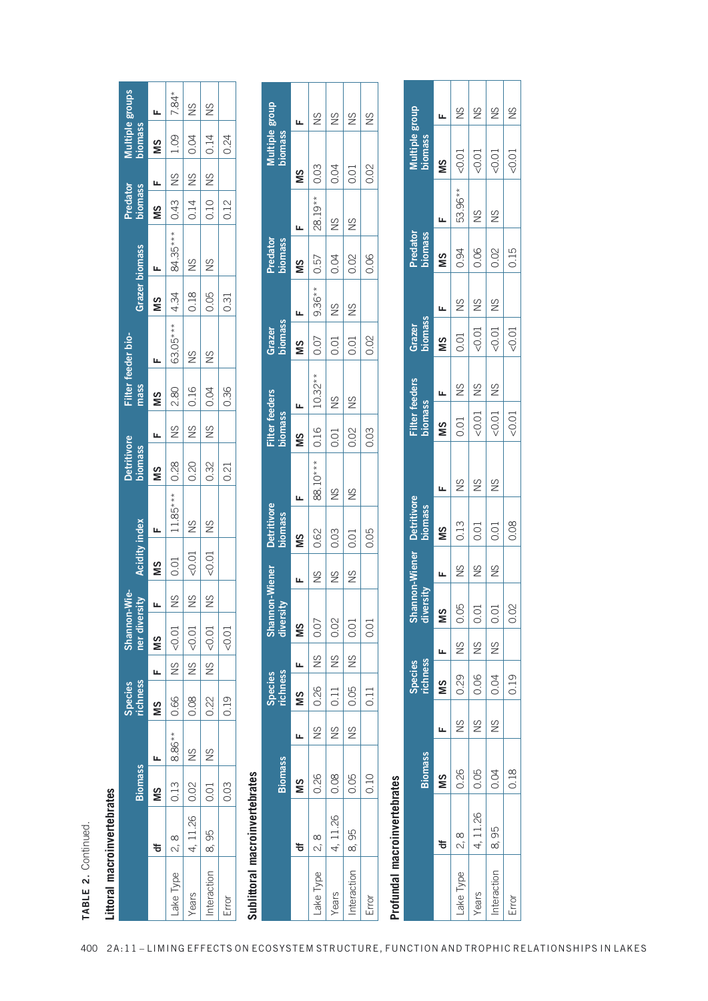| ٠<br>נ<br>ג |  |  |
|-------------|--|--|
|             |  |  |
|             |  |  |
| ī           |  |  |
|             |  |  |
| Ξ<br>t      |  |  |
|             |  |  |

|                                                                                      |               |                |                | Species<br>richness |                    |                                |                     |                 | <b>Detritivore</b> |               |                            |                                                                  |                       |                             | Predator<br>biomass |                      | Multiple groups<br>biomass |                    |
|--------------------------------------------------------------------------------------|---------------|----------------|----------------|---------------------|--------------------|--------------------------------|---------------------|-----------------|--------------------|---------------|----------------------------|------------------------------------------------------------------|-----------------------|-----------------------------|---------------------|----------------------|----------------------------|--------------------|
|                                                                                      |               | <b>Biomass</b> |                |                     |                    | Shannon-Wie-<br>Iner diversity | Acidity index       |                 | <b>biomass</b>     |               | Filter feeder bio-<br>mass |                                                                  | <b>Grazer biomass</b> |                             |                     |                      |                            |                    |
|                                                                                      | ᡃӛ            | NS<br>M        |                | <b>NS</b>           |                    | $\frac{1}{2}$                  | 5M <sub>1</sub>     | <u>س</u>        | <b>NS</b>          |               | 5M <sub>1</sub>            |                                                                  | MS                    |                             | <b>NS</b>           | $\frac{1}{\sqrt{2}}$ | <b>NS</b>                  |                    |
| ake Type 2, 8                                                                        |               | 0.13           | 8.86** 0.66    |                     | $rac{2}{\sqrt{2}}$ |                                | NS 0.01             | $11.85***$ 0.28 |                    | $\frac{8}{2}$ | 2.80                       |                                                                  |                       | $ 84.35*** 0.43 $ NS   1.09 |                     |                      |                            | $7.84*$            |
| Years                                                                                | 4, 11.26 0.02 |                | $\frac{2}{10}$ | 0.08                | $rac{2}{\sqrt{2}}$ | $\frac{10000}{6000}$           | $NS$ $ <0.01$ NS    |                 | 0.20               | $\frac{8}{5}$ | 0.16                       | $\begin{array}{c cc}\n63.05*** & 4.34 \\ NS & 0.18\n\end{array}$ |                       | $\frac{8}{2}$               |                     | $0.14$ NS 0.04       |                            | $rac{2}{\sqrt{2}}$ |
| $n$ teraction $8, 95$                                                                |               | 0.01           | $\frac{8}{1}$  | 0.22                |                    | $\left $ NS $\right $ <0.01    | $NS$ $ <0.01$ $ NS$ |                 | 0.32               | $\frac{8}{2}$ | $\frac{1}{0.04}$           | $\frac{8}{2}$                                                    | 0.05                  | $\frac{2}{1}$               |                     |                      | $ 0.10 $ NS $ 0.14$        | $\frac{8}{10}$     |
| Error                                                                                |               | 0.03           |                | 0.19                |                    | 0.01                           |                     |                 | 0.21               |               | 0.36                       |                                                                  | 0.31                  |                             | 0.12                |                      | 0.24                       |                    |
| $\begin{array}{c}\n\bullet \\ \bullet \\ \bullet \\ \bullet \\ \bullet\n\end{array}$ |               |                |                |                     |                    |                                |                     |                 |                    |               |                            |                                                                  |                       |                             |                     |                      |                            |                    |

|                                |                                      | <b>Biomass</b> |               | richness<br><b>Species</b> |                                 | Shannon-Wie-<br>ner diversity |                             | <b>Acidity index</b> |                               | <b>Detritivore</b><br>biomass |                                         | mass                      | Filter feeder bio- |               | <b>Grazer biomass</b>           | Predator<br>biomass |               | Multiple groups<br>biomass |               |
|--------------------------------|--------------------------------------|----------------|---------------|----------------------------|---------------------------------|-------------------------------|-----------------------------|----------------------|-------------------------------|-------------------------------|-----------------------------------------|---------------------------|--------------------|---------------|---------------------------------|---------------------|---------------|----------------------------|---------------|
|                                | ㅎ                                    | SM             | щ             | SM                         | щ                               | SM                            |                             | SM                   | щ                             | SIN                           | Щ                                       | SIN                       | щ                  | SM            |                                 | SM                  | щ             | SIN                        | щ             |
| Lake Type                      | $\infty$<br>$\overline{\mathcal{N}}$ | 0.13           | 8.86**        | 0.66                       | $\frac{8}{2}$                   | < 0.01                        | SN                          | 0.01                 | $11.85***$                    | 0.28                          | $\frac{8}{2}$                           | 2.80                      | 63.05***           | 4.34          | 84.35***                        | 0.43                | $\frac{8}{2}$ | 1.09                       | $7.84*$       |
| Years                          | 26<br>4,11                           | 0.02           | $\frac{S}{S}$ | 0.08                       | $\frac{\mathrm{C}}{\mathrm{C}}$ | < 0.01                        | SN                          | < 0.01               | $\frac{S}{S}$                 | 0.20                          | $\frac{S}{S}$                           | 0.16                      | $^{2}$             | 0.18          | $\frac{\mathrm{C}}{\mathrm{C}}$ | 0.14                | $^{2}$        | 0.04                       | $\frac{S}{S}$ |
| Interaction                    | 95<br>$\infty$                       | 0.01           | $\frac{8}{2}$ | 0.22                       | $\frac{8}{2}$                   | < 0.01                        | $\frac{8}{2}$               | < 0.01               | $\frac{8}{2}$                 | 0.32                          | $^{2}$                                  | 0.04                      | $\frac{8}{2}$      | 0.05          | $\frac{8}{2}$                   | 0.10                | $\frac{8}{2}$ | 0.14                       | $\frac{8}{2}$ |
| Error                          |                                      | 0.03           |               | 0.19                       |                                 | < 0.01                        |                             |                      |                               | 0.21                          |                                         | 0.36                      |                    | 0.31          |                                 | 0.12                |               | 0.24                       |               |
| Sublittoral macroinvertebrates |                                      |                |               |                            |                                 |                               |                             |                      |                               |                               |                                         |                           |                    |               |                                 |                     |               |                            |               |
|                                |                                      | <b>Biomass</b> |               | richness<br><b>Species</b> |                                 |                               | Shannon-Wiener<br>diversity |                      | <b>Detritivore</b><br>biomass |                               | <b>Filter feeders</b><br><b>biomass</b> |                           | biomass<br>Grazer  |               | Predator<br><b>biomass</b>      |                     |               | Multiple group<br>biomass  |               |
|                                | ቴ                                    | SM             | щ             | SIN                        | щ                               | SM                            | щ                           |                      | щ<br>SIN                      |                               | SM                                      | щ                         | SM                 | щ             | SIN                             | щ                   | SM            | щ                          |               |
| Lake Type                      | $\infty$<br>Ñ,                       | 0.26           | $\frac{8}{2}$ | 0.26                       | $\frac{8}{2}$                   | 0.07                          |                             | $\frac{8}{2}$        | 0.62                          | $* *$<br>88.10*               | 0.16                                    | $10.32**$                 | 0.07               | $9.36**$      | 0.57                            | $19**$<br>28.       | 0.03          |                            | $\frac{8}{2}$ |
| Years                          | 26<br>$\Box$<br>4,                   | 0.08           | $\frac{8}{2}$ | 0.11                       | $\frac{8}{2}$                   | 0.02                          |                             | $\frac{8}{2}$        | 0.03                          | $\frac{8}{2}$                 | 0.01                                    | $\frac{8}{2}$             | 0.01               | $\frac{8}{2}$ | 0.04                            | $\frac{8}{2}$       | 0.04          |                            | $\frac{8}{2}$ |
| Interaction                    | 95<br>ထၳ                             | 0.05           | $\frac{8}{2}$ | 0.05                       | $\frac{8}{2}$                   | 0.01                          |                             | $\frac{8}{2}$        | 0.01                          | $\frac{8}{2}$                 | 0.02                                    | $\frac{8}{2}$             | 0.01               | $\frac{8}{2}$ | 0.02                            | $\frac{8}{2}$       | 0.01          |                            | $\frac{8}{1}$ |
| Error                          |                                      | 0.10           |               | 0.11                       |                                 | 0.01                          |                             |                      | 0.05                          |                               | 0.03                                    |                           | 0.02               |               | 0.06                            |                     | 0.02          |                            | $\frac{8}{2}$ |
| Profundal macroinvertebrates   |                                      |                |               |                            |                                 |                               |                             |                      |                               |                               |                                         |                           |                    |               |                                 |                     |               |                            |               |
|                                |                                      | <b>Biomass</b> |               |                            | richness<br><b>Species</b>      |                               | Shannon-Wiener<br>diversity |                      | <b>Detritivore</b><br>biomass |                               |                                         | Filter feeders<br>biomass | Grazer<br>biomass  |               | Predator<br>biomass             |                     |               | Multiple group<br>biomass  |               |
|                                | $\overline{\sigma}$                  | SM             | Щ             | SM                         | щ                               | SIN                           |                             | щ                    | SM                            | Щ                             | SM                                      | щ                         | SIN                | щ             | SM                              | Щ                   | SIN           |                            | щ             |
| Lake Type                      | $\infty$<br>Ñ,                       | 0.26           | $\frac{8}{2}$ | 0.29                       |                                 | 0.05<br>$\frac{S}{S}$         |                             | $\frac{8}{1}$        | 0.13                          | $\frac{8}{5}$                 | 0.01                                    | $\frac{8}{2}$             | 0.01               | $\frac{8}{2}$ | 0.94                            | 53.96**             | < 0.01        |                            | $\frac{8}{2}$ |
| Years                          | 89.<br>$\Box$<br>4,                  | 0.05           | $\frac{8}{2}$ | 0.06                       |                                 | 0.01<br>$^{2}$                |                             | SN                   | 0.01                          | $^{2}$                        | < 0.01                                  | $\frac{8}{1}$             | < 0.01             | $\frac{8}{2}$ | 0.06                            | $\frac{8}{2}$       | < 0.01        |                            | $\frac{8}{2}$ |
| Interaction                    | 95<br>∞                              | 0.04           | $\frac{8}{2}$ | 0.04                       |                                 | 0.01<br>$\frac{8}{2}$         |                             | $\frac{8}{2}$        | 0.01                          | $\frac{8}{2}$                 | < 0.01                                  | $\frac{8}{2}$             | < 0.01             | $\frac{8}{2}$ | 0.02                            | $\frac{8}{2}$       | < 0.01        |                            | $\frac{S}{S}$ |
| Error                          |                                      | 0.18           |               | 0.19                       |                                 | 0.02                          |                             |                      | 0.08                          |                               | 50.01                                   |                           | < 0.01             |               | 0.15                            |                     | < 0.01        |                            | $\frac{8}{2}$ |

|            |          | <b>Biomass</b> |    | Species<br>richness                                              |               | Shannon<br>diversity | nnon-Wiener | <b>Detritivore</b><br><b>biomass</b> |               | Filter feeders<br>biomass |               | Grazer<br>biomass |               | Predator<br>biomass |               | Multiple group |               |
|------------|----------|----------------|----|------------------------------------------------------------------|---------------|----------------------|-------------|--------------------------------------|---------------|---------------------------|---------------|-------------------|---------------|---------------------|---------------|----------------|---------------|
|            | ᡃӛ       | SM             |    | MS                                                               |               | SM                   |             | SM                                   |               | $MS =$                    |               | <b>SM</b>         |               | ŠΜ                  |               | ΜS             |               |
| ake Type.  | 2, 8     | 0.26           | SN | $\begin{array}{ c c c c }\n\hline\n0.06 &\mline\n\end{array}$ NS |               | 0.05                 | SN          | 0.13                                 | $\frac{8}{2}$ | 0.01                      | $\frac{8}{2}$ | 10.01             | $\frac{8}{2}$ | 0.94                | 53.96**       | < 0.01         | SN            |
| Years      | 4, 11.26 | 0.05           | SN |                                                                  | $\frac{2}{5}$ | $\overline{0.01}$    | SN          | 0.01                                 | SN            | $-0.01$ NS                |               | $\sim$ 0.01   NS  |               | 0.06                | SN            | $-0.01$        | SN            |
| nteraction | 8,95     | 0.04           | SN | 0.04 NS                                                          |               | 0.01                 | SN          | 0.01                                 | $\frac{8}{2}$ | $0.01$ NS                 |               | $10.01$ NS        |               | 0.02                | $\frac{8}{2}$ | 50.01          | SN            |
| Error      |          | 0.18           |    | 0.19                                                             |               | 0.02                 |             | 0.08                                 |               | 50.01                     |               | $-0.01$           |               | 0.15                |               | 0.01           | $\frac{8}{2}$ |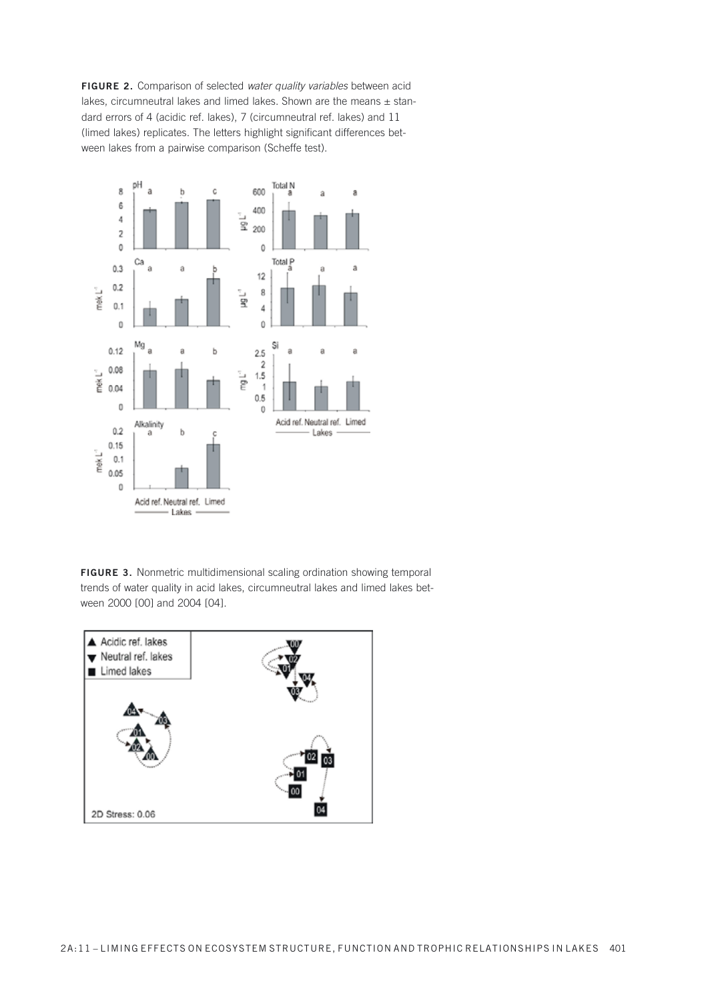**FIGURE 2.** Comparison of selected water quality variables between acid lakes, circumneutral lakes and limed lakes. Shown are the means  $\pm$  standard errors of 4 (acidic ref. lakes), 7 (circumneutral ref. lakes) and 11 (limed lakes) replicates. The letters highlight significant differences between lakes from a pairwise comparison (Scheffe test).



**FIGURE 3.** Nonmetric multidimensional scaling ordination showing temporal trends of water quality in acid lakes, circumneutral lakes and limed lakes between 2000 [00] and 2004 [04].

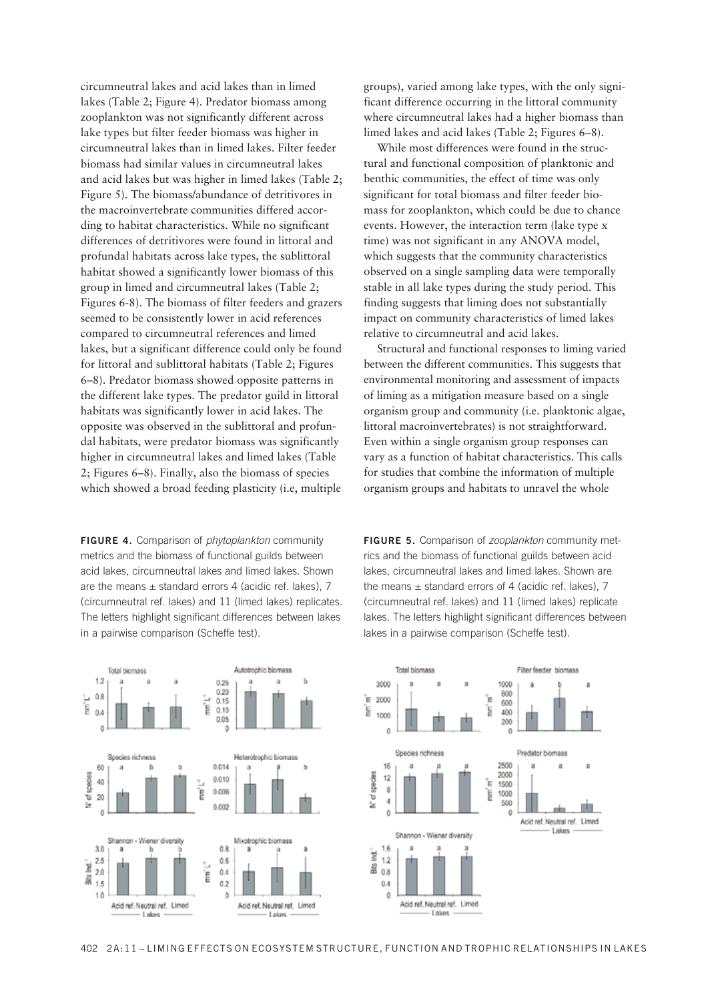circumneutral lakes and acid lakes than in limed lakes (Table 2; Figure 4). Predator biomass among zooplankton was not significantly different across lake types but filter feeder biomass was higher in circumneutral lakes than in limed lakes. Filter feeder biomass had similar values in circumneutral lakes and acid lakes but was higher in limed lakes (Table 2; Figure 5). The biomass/abundance of detritivores in the macroinvertebrate communities differed accor ding to habitat characteristics. While no significant differences of detritivores were found in littoral and profundal habitats across lake types, the sublittoral habitat showed a significantly lower biomass of this group in limed and circumneutral lakes (Table 2; Figures 6-8). The biomass of filter feeders and grazers seemed to be consistently lower in acid references compared to circumneutral references and limed lakes, but a significant difference could only be found for littoral and sublittoral habitats (Table 2; Figures  $6-8$ ). Predator biomass showed opposite patterns in the different lake types. The predator guild in littoral habitats was significantly lower in acid lakes. The opposite was observed in the sublittoral and profundal habitats, were predator biomass was significantly higher in circumneutral lakes and limed lakes (Table  $2$ ; Figures 6–8). Finally, also the biomass of species which showed a broad feeding plasticity (i.e, multiple

**FIGURE 4.** Comparison of *phytoplankton* community metrics and the biomass of functional guilds between acid lakes, circumneutral lakes and limed lakes. Shown are the means  $\pm$  standard errors 4 (acidic ref. lakes), 7 (circumneutral ref. lakes) and 11 (limed lakes) replicates. The letters highlight significant differences between lakes in a pairwise comparison (Scheffe test).

groups), varied among lake types, with the only significant difference occurring in the littoral community where circumneutral lakes had a higher biomass than limed lakes and acid lakes (Table 2; Figures  $6-8$ ).

While most differences were found in the structural and functional composition of planktonic and benthic communities, the effect of time was only significant for total biomass and filter feeder biomass for zooplankton, which could be due to chance events. However, the interaction term (lake type x time) was not significant in any ANOVA model, which suggests that the community characteristics observed on a single sampling data were temporally stable in all lake types during the study period. This finding suggests that liming does not substantially impact on community characteristics of limed lakes relative to circumneutral and acid lakes.

Structural and functional responses to liming varied between the different communities. This suggests that environmental monitoring and assessment of impacts of liming as a mitigation measure based on a single organism group and community (i.e. planktonic algae, littoral macroinvertebrates) is not straightforward. Even within a single organism group responses can vary as a function of habitat characteristics. This calls for studies that combine the information of multiple organism groups and habitats to unravel the whole

**FIGURE 5.** Comparison of *zooplankton* community metrics and the biomass of functional guilds between acid lakes, circumneutral lakes and limed lakes. Shown are the means  $\pm$  standard errors of 4 (acidic ref. lakes), 7 (circumneutral ref. lakes) and 11 (limed lakes) replicate lakes. The letters highlight significant differences between lakes in a pairwise comparison (Scheffe test).



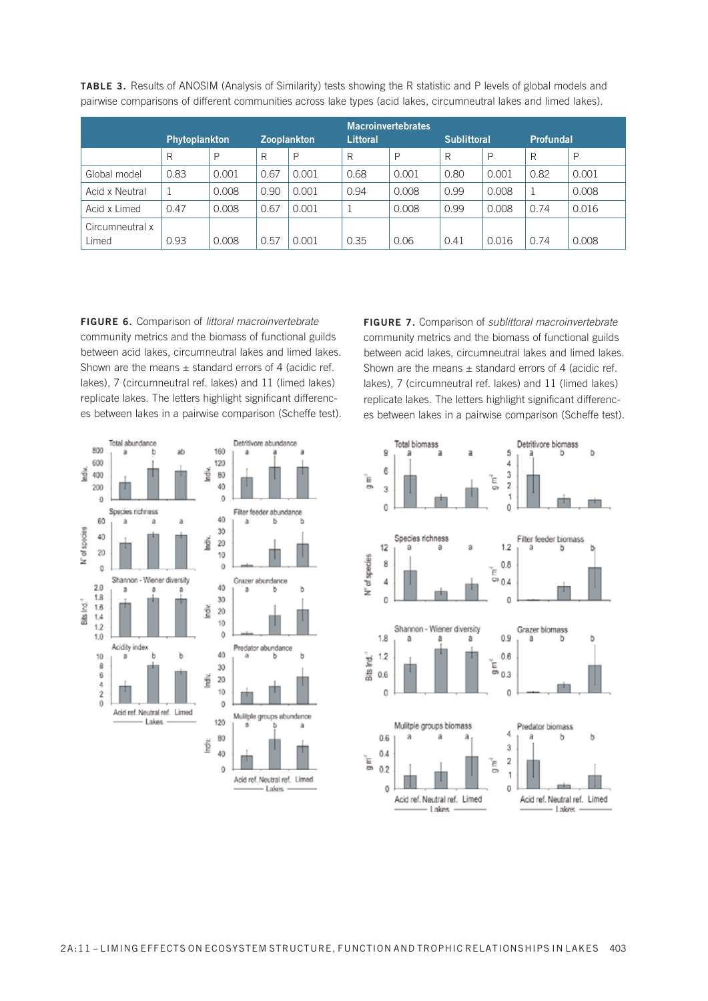|                 |               |       |      |                    |                 | <b>Macroinvertebrates</b> |                    |       |                  |       |
|-----------------|---------------|-------|------|--------------------|-----------------|---------------------------|--------------------|-------|------------------|-------|
|                 | Phytoplankton |       |      | <b>Zooplankton</b> | <b>Littoral</b> |                           | <b>Sublittoral</b> |       | <b>Profundal</b> |       |
|                 | R             | P     | R    | P                  | R               | P                         | R                  | P     | R                | P     |
| Global model    | 0.83          | 0.001 | 0.67 | 0.001              | 0.68            | 0.001                     | 0.80               | 0.001 | 0.82             | 0.001 |
| Acid x Neutral  |               | 0.008 | 0.90 | 0.001              | 0.94            | 0.008                     | 0.99               | 0.008 | 1                | 0.008 |
| Acid x Limed    | 0.47          | 0.008 | 0.67 | 0.001              |                 | 0.008                     | 0.99               | 0.008 | 0.74             | 0.016 |
| Circumneutral x |               |       |      |                    |                 |                           |                    |       |                  |       |
| Limed           | 0.93          | 0.008 | 0.57 | 0.001              | 0.35            | 0.06                      | 0.41               | 0.016 | 0.74             | 0.008 |

**TABLE 3.** Results of ANOSIM (Analysis of Similarity) tests showing the R statistic and P levels of global models and pairwise comparisons of different communities across lake types (acid lakes, circumneutral lakes and limed lakes).

**FIGURE 6.** Comparison of littoral macroinvertebrate community metrics and the biomass of functional guilds between acid lakes, circumneutral lakes and limed lakes. Shown are the means  $\pm$  standard errors of 4 (acidic ref. lakes), 7 (circumneutral ref. lakes) and 11 (limed lakes) replicate lakes. The letters highlight significant differences between lakes in a pairwise comparison (Scheffe test).

![](_page_11_Figure_3.jpeg)

FIGURE 7. Comparison of *sublittoral macroinvertebrate* community metrics and the biomass of functional guilds between acid lakes, circumneutral lakes and limed lakes. Shown are the means  $\pm$  standard errors of 4 (acidic ref. lakes), 7 (circumneutral ref. lakes) and 11 (limed lakes) replicate lakes. The letters highlight significant differences between lakes in a pairwise comparison (Scheffe test).

![](_page_11_Figure_5.jpeg)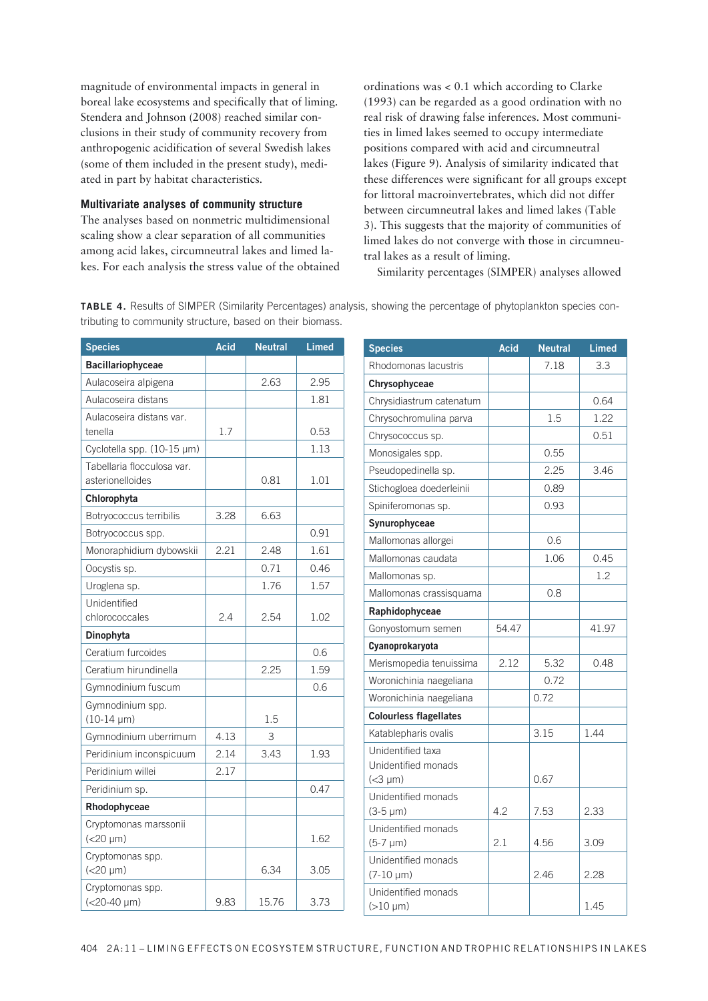magnitude of environmental impacts in general in boreal lake ecosystems and specifically that of liming. Stendera and Johnson (2008) reached similar conclusions in their study of community recovery from anthropogenic acidification of several Swedish lakes (some of them included in the present study), mediated in part by habitat characteristics.

### **Multivariate analyses of community structure**

The analyses based on nonmetric multidimensional scaling show a clear separation of all communities among acid lakes, circumneutral lakes and limed lakes. For each analysis the stress value of the obtained

ordinations was  $< 0.1$  which according to Clarke (1993) can be regarded as a good ordination with no real risk of drawing false inferences. Most communities in limed lakes seemed to occupy intermediate positions compared with acid and circumneutral lakes (Figure 9). Analysis of similarity indicated that these differences were significant for all groups except for littoral macroinvertebrates, which did not differ between circumneutral lakes and limed lakes (Table 3). This suggests that the majority of communities of limed lakes do not converge with those in circumneutral lakes as a result of liming.

Similarity percentages (SIMPER) analyses allowed

**TABLE 4.** Results of SIMPER (Similarity Percentages) analysis, showing the percentage of phytoplankton species contributing to community structure, based on their biomass.

| <b>Species</b>                       | <b>Acid</b> | <b>Neutral</b> | <b>Limed</b> |
|--------------------------------------|-------------|----------------|--------------|
| <b>Bacillariophyceae</b>             |             |                |              |
| Aulacoseira alpigena                 |             | 2.63           | 2.95         |
| Aulacoseira distans                  |             |                | 1.81         |
| Aulacoseira distans var.             |             |                |              |
| tenella                              | 1.7         |                | 0.53         |
| Cyclotella spp. (10-15 µm)           |             |                | 1.13         |
| Tabellaria flocculosa var.           |             |                |              |
| asterionelloides                     |             | 0.81           | 1.01         |
| Chlorophyta                          |             |                |              |
| Botryococcus terribilis              | 3.28        | 6.63           |              |
| Botryococcus spp.                    |             |                | 0.91         |
| Monoraphidium dybowskii              | 2.21        | 2.48           | 1.61         |
| Oocystis sp.                         |             | 0.71           | 0.46         |
| Uroglena sp.                         |             | 1.76           | 1.57         |
| Unidentified<br>chlorococcales       | 2.4         | 2.54           | 1.02         |
| Dinophyta                            |             |                |              |
| Ceratium furcoides                   |             |                | 0.6          |
| Ceratium hirundinella                |             | 2.25           | 1.59         |
| Gymnodinium fuscum                   |             |                | 0.6          |
| Gymnodinium spp.                     |             |                |              |
| $(10-14 \mu m)$                      |             | 1.5            |              |
| Gymnodinium uberrimum                | 4.13        | 3              |              |
| Peridinium inconspicuum              | 2.14        | 3.43           | 1.93         |
| Peridinium willei                    | 2.17        |                |              |
| Peridinium sp.                       |             |                | 0.47         |
| Rhodophyceae                         |             |                |              |
| Cryptomonas marssonii                |             |                |              |
| $(<20 \mu m)$                        |             |                | 1.62         |
| Cryptomonas spp.<br>$(<20 \mu m)$    |             | 6.34           | 3.05         |
|                                      |             |                |              |
| Cryptomonas spp.<br>$(<20-40 \mu m)$ | 9.83        | 15.76          | 3.73         |
|                                      |             |                |              |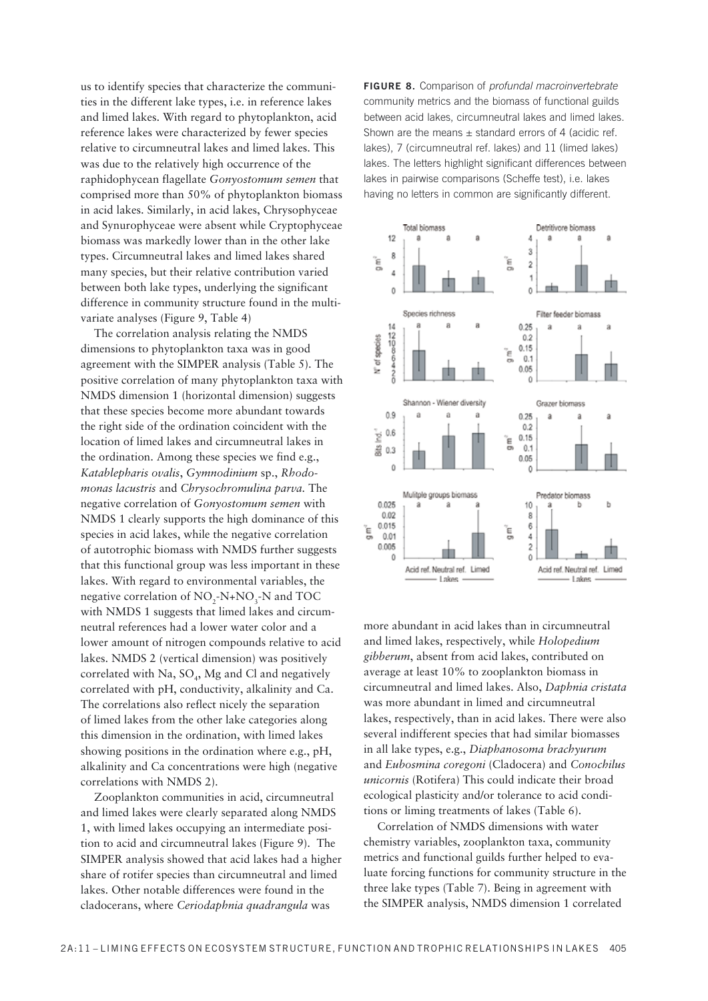us to identify species that characterize the communities in the different lake types, i.e. in reference lakes and limed lakes. With regard to phytoplankton, acid reference lakes were characterized by fewer species relative to circumneutral lakes and limed lakes. This was due to the relatively high occurrence of the raphidophycean flagellate *Gonyostomum semen* that comprised more than 50% of phytoplankton biomass in acid lakes. Similarly, in acid lakes, Chrysophyceae and Synurophyceae were absent while Cryptophyceae biomass was markedly lower than in the other lake types. Circumneutral lakes and limed lakes shared many species, but their relative contribution varied between both lake types, underlying the significant difference in community structure found in the multivariate analyses (Figure 9, Table 4)

The correlation analysis relating the NMDS dimensions to phytoplankton taxa was in good agreement with the SIMPER analysis (Table 5). The positive correlation of many phytoplankton taxa with NMDS dimension 1 (horizontal dimension) suggests that these species become more abundant towards the right side of the ordination coincident with the location of limed lakes and circumneutral lakes in the ordination. Among these species we find e.g., *Katablepharis ovalis*, *Gymnodinium* sp., *Rhodomonas lacustris* and *Chrysochromulina parva.* The negative correlation of *Gonyostomum semen* with NMDS 1 clearly supports the high dominance of this species in acid lakes, while the negative correlation of autotrophic biomass with NMDS further suggests that this functional group was less important in these lakes. With regard to environmental variables, the negative correlation of  $NO_2$ -N+NO<sub>3</sub>-N and TOC with NMDS 1 suggests that limed lakes and circumneutral references had a lower water color and a lower amount of nitrogen compounds relative to acid lakes. NMDS 2 (vertical dimension) was positively correlated with Na,  $SO_4$ , Mg and Cl and negatively correlated with  $pH$ , conductivity, alkalinity and Ca. The correlations also reflect nicely the separation of limed lakes from the other lake categories along this dimension in the ordination, with limed lakes showing positions in the ordination where e.g., pH, alkalinity and Ca concentrations were high (negative correlations with NMDS 2).

Zooplankton communities in acid, circumneutral and limed lakes were clearly separated along NMDS 1, with limed lakes occupying an intermediate position to acid and circumneutral lakes (Figure 9). The SIMPER analysis showed that acid lakes had a higher share of rotifer species than circumneutral and limed lakes. Other notable differences were found in the cladocerans, where *Ceriodaphnia quadrangula* was

**FIGURE 8.** Comparison of profundal macroinvertebrate community metrics and the biomass of functional guilds between acid lakes, circumneutral lakes and limed lakes. Shown are the means  $\pm$  standard errors of 4 (acidic ref. lakes), 7 (circumneutral ref. lakes) and 11 (limed lakes) lakes. The letters highlight significant differences between lakes in pairwise comparisons (Scheffe test), i.e. lakes having no letters in common are significantly different.

![](_page_13_Figure_4.jpeg)

more abundant in acid lakes than in circumneutral and limed lakes, respectively, while *Holopedium gibberum*, absent from acid lakes, contributed on average at least 10% to zooplankton biomass in circumneutral and limed lakes. Also, *Daphnia cristata* was more abundant in limed and circumneutral lakes, respectively, than in acid lakes. There were also several indifferent species that had similar biomasses in all lake types, e.g., *Diaphanosoma brachyurum* and *Eubosmina coregoni* (Cladocera) and Conochilus *unicornis* (Rotifera) This could indicate their broad ecological plasticity and/or tolerance to acid conditions or liming treatments of lakes (Table 6).

Correlation of NMDS dimensions with water chemistry variables, zooplankton taxa, community metrics and functional guilds further helped to evaluate forcing functions for community structure in the three lake types (Table 7). Being in agreement with the SIMPER analysis, NMDS dimension 1 correlated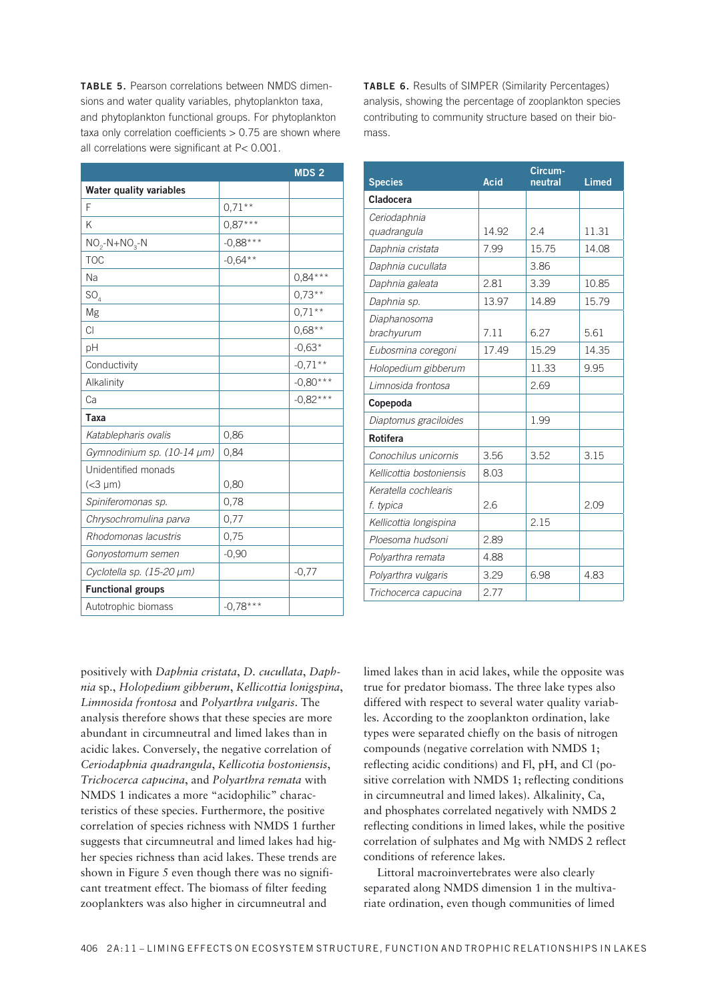TABLE 5. Pearson correlations between NMDS dimensions and water quality variables, phytoplankton taxa. and phytoplankton functional groups. For phytoplankton taxa only correlation coefficients  $> 0.75$  are shown where all correlations were significant at P< 0.001.

|                                |            | MDS <sub>2</sub> |
|--------------------------------|------------|------------------|
| <b>Water quality variables</b> |            |                  |
| F                              | $0.71***$  |                  |
| K                              | $0.87***$  |                  |
| $NO_2-N+NO_3-N$                | $-0,88***$ |                  |
| <b>TOC</b>                     | $-0,64**$  |                  |
| Na                             |            | $0,84***$        |
| SO <sub>4</sub>                |            | $0.73***$        |
| Mg                             |            | $0.71***$        |
| C1                             |            | $0,68**$         |
| pH                             |            | $-0,63*$         |
| Conductivity                   |            | $-0.71**$        |
| Alkalinity                     |            | $-0,80***$       |
| Ca                             |            | $-0,82***$       |
| Taxa                           |            |                  |
| Katablepharis ovalis           | 0,86       |                  |
| Gymnodinium sp. (10-14 µm)     | 0,84       |                  |
| Unidentified monads            |            |                  |
| $(<3 \mu m)$                   | 0,80       |                  |
| Spiniferomonas sp.             | 0,78       |                  |
| Chrysochromulina parva         | 0,77       |                  |
| Rhodomonas lacustris           | 0,75       |                  |
| Gonyostomum semen              | $-0,90$    |                  |
| Cyclotella sp. (15-20 µm)      |            | $-0,77$          |
| <b>Functional groups</b>       |            |                  |
| Autotrophic biomass            | $-0,78***$ |                  |

positively with Daphnia cristata, D. cucullata, Daphnia sp., Holopedium gibberum, Kellicottia lonigspina, Limnosida frontosa and Polyarthra vulgaris. The analysis therefore shows that these species are more abundant in circumneutral and limed lakes than in acidic lakes. Conversely, the negative correlation of Ceriodaphnia quadrangula, Kellicotia bostoniensis, Trichocerca capucina, and Polyarthra remata with NMDS 1 indicates a more "acidophilic" characteristics of these species. Furthermore, the positive correlation of species richness with NMDS 1 further suggests that circumneutral and limed lakes had higher species richness than acid lakes. These trends are shown in Figure 5 even though there was no significant treatment effect. The biomass of filter feeding zooplankters was also higher in circumneutral and

**TABLE 6.** Results of SIMPER (Similarity Percentages) analysis, showing the percentage of zooplankton species contributing to community structure based on their biomass

| <b>Species</b>           | <b>Acid</b> | Circum-<br>neutral | <b>Limed</b> |  |
|--------------------------|-------------|--------------------|--------------|--|
| Cladocera                |             |                    |              |  |
| Ceriodaphnia             |             |                    |              |  |
| quadrangula              | 14.92       | 2.4                | 11.31        |  |
| Daphnia cristata         | 7.99        | 15.75              | 14.08        |  |
| Daphnia cucullata        |             | 3.86               |              |  |
| Daphnia galeata          | 2.81        | 3.39               | 10.85        |  |
| Daphnia sp.              | 13.97       | 14.89              | 15.79        |  |
| Diaphanosoma             |             |                    |              |  |
| brachyurum               | 7.11        | 6.27               | 5.61         |  |
| Eubosmina coregoni       | 17.49       | 15.29              | 14.35        |  |
| Holopedium gibberum      |             | 11.33              | 9.95         |  |
| Limnosida frontosa       |             | 2.69               |              |  |
| Copepoda                 |             |                    |              |  |
| Diaptomus graciloides    |             | 1.99               |              |  |
| <b>Rotifera</b>          |             |                    |              |  |
| Conochilus unicornis     | 3.56        | 3.52               | 3.15         |  |
| Kellicottia bostoniensis | 8.03        |                    |              |  |
| Keratella cochlearis     |             |                    |              |  |
| f. typica                | 26          |                    | 2.09         |  |
| Kellicottia longispina   |             | 2.15               |              |  |
| Ploesoma hudsoni         | 2.89        |                    |              |  |
| Polyarthra remata        | 4.88        |                    |              |  |
| Polyarthra vulgaris      | 3.29        | 6.98               | 4.83         |  |
| Trichocerca capucina     | 2.77        |                    |              |  |

limed lakes than in acid lakes, while the opposite was true for predator biomass. The three lake types also differed with respect to several water quality variables. According to the zooplankton ordination, lake types were separated chiefly on the basis of nitrogen compounds (negative correlation with NMDS 1; reflecting acidic conditions) and Fl, pH, and Cl (positive correlation with NMDS 1; reflecting conditions in circumneutral and limed lakes). Alkalinity, Ca, and phosphates correlated negatively with NMDS 2 reflecting conditions in limed lakes, while the positive correlation of sulphates and Mg with NMDS 2 reflect conditions of reference lakes.

Littoral macroinvertebrates were also clearly separated along NMDS dimension 1 in the multivariate ordination, even though communities of limed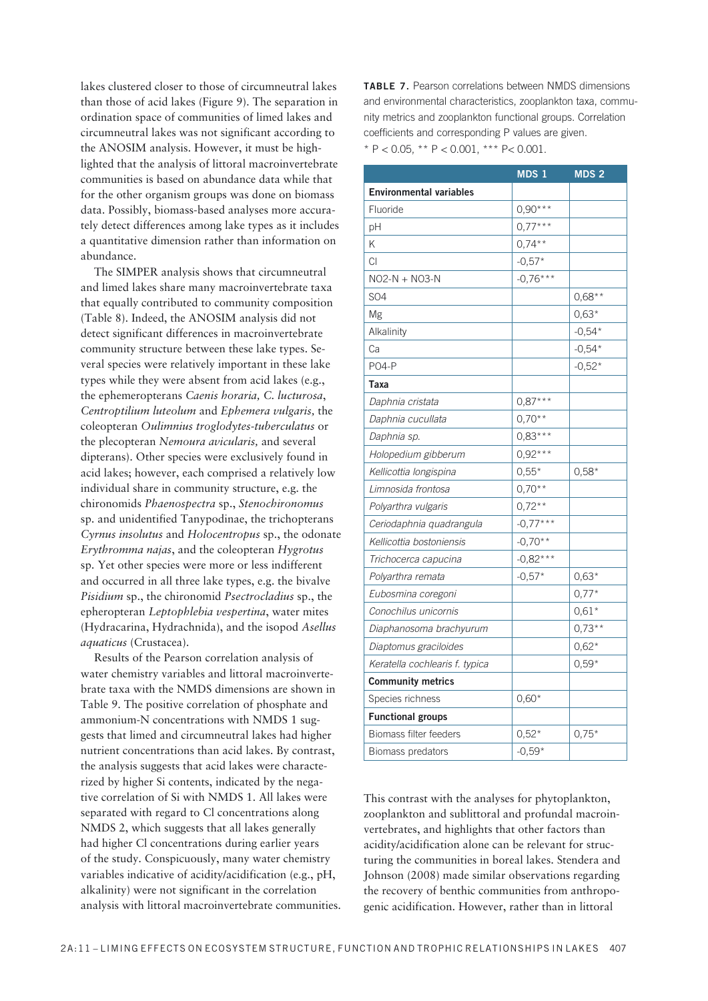lakes clustered closer to those of circumneutral lakes than those of acid lakes (Figure 9). The separation in ordination space of communities of limed lakes and circumneutral lakes was not significant according to the ANOSIM analysis. However, it must be highlighted that the analysis of littoral macroinvertebrate communities is based on abundance data while that for the other organism groups was done on biomass data. Possibly, biomass-based analyses more accurately detect differences among lake types as it includes a quantitative dimension rather than information on abundance.

The SIMPER analysis shows that circumneutral and limed lakes share many macroinvertebrate taxa that equally contributed to community composition (Table 8). Indeed, the ANOSIM analysis did not detect significant differences in macroinvertebrate community structure between these lake types. Several species were relatively important in these lake types while they were absent from acid lakes (e.g., the ephemeropterans *Caenis horaria, C. lucturosa*, *Centroptilium luteolum* and *Ephemera vulgaris,* the coleopteran *Oulimnius troglodytes-tuberculatus* or the plecopteran *Nemoura avicularis,* and several dipterans). Other species were exclusively found in acid lakes; however, each comprised a relatively low individual share in community structure, e.g. the chironomids *Phaenospectra* sp., *Stenochironomus* sp. and unidentified Tanypodinae, the trichopterans *Cyrnus insolutus* and *Holocentropus* sp., the odonate *Erythromma najas*, and the coleopteran *Hygrotus* sp. Yet other species were more or less indifferent and occurred in all three lake types, e.g. the bivalve *Pisidium* sp., the chironomid *Psectrocladius* sp., the epheropteran *Leptophlebia vespertina*, water mites (Hydracarina, Hydrachnida), and the isopod *Asellus aquaticus* (Crustacea).

Results of the Pearson correlation analysis of water chemistry variables and littoral macroinvertebrate taxa with the NMDS dimensions are shown in Table 9. The positive correlation of phosphate and ammonium-N concentrations with NMDS 1 suggests that limed and circumneutral lakes had higher nutrient concentrations than acid lakes. By contrast, the analysis suggests that acid lakes were characterized by higher Si contents, indicated by the negative correlation of Si with NMDS 1. All lakes were separated with regard to Cl concentrations along NMDS 2, which suggests that all lakes generally had higher Cl concentrations during earlier years of the study. Conspicuously, many water chemistry variables indicative of acidity/acidification (e.g., pH, alkalinity) were not significant in the correlation analysis with littoral macroinvertebrate communities. **TABLE 7.** Pearson correlations between NMDS dimensions and environmental characteristics, zooplankton taxa, community metrics and zooplankton functional groups. Correlation coefficients and corresponding P values are given. \* P < 0.05, \*\* P < 0.001, \*\*\* P< 0.001.

|                                | MDS <sub>1</sub> | MDS <sub>2</sub> |
|--------------------------------|------------------|------------------|
| <b>Environmental variables</b> |                  |                  |
| Fluoride                       | $0,90***$        |                  |
| pH                             | $0,77***$        |                  |
| Κ                              | $0,74***$        |                  |
| CI                             | $-0,57*$         |                  |
| NO2-N + NO3-N                  | $-0,76***$       |                  |
| <b>SO4</b>                     |                  | $0,68**$         |
| Mg                             |                  | $0,63*$          |
| Alkalinity                     |                  | $-0,54*$         |
| Ca                             |                  | $-0,54*$         |
| <b>PO4-P</b>                   |                  | $-0,52*$         |
| <b>Taxa</b>                    |                  |                  |
| Daphnia cristata               | $0,87***$        |                  |
| Daphnia cucullata              | $0.70**$         |                  |
| Daphnia sp.                    | $0,83***$        |                  |
| Holopedium gibberum            | $0,92***$        |                  |
| Kellicottia longispina         | $0,55*$          | $0,58*$          |
| Limnosida frontosa             | $0,70**$         |                  |
| Polyarthra vulgaris            | $0.72***$        |                  |
| Ceriodaphnia quadrangula       | $-0,77***$       |                  |
| Kellicottia bostoniensis       | $-0,70**$        |                  |
| Trichocerca capucina           | $-0.82***$       |                  |
| Polyarthra remata              | $-0,57*$         | $0,63*$          |
| Eubosmina coregoni             |                  | $0,77*$          |
| Conochilus unicornis           |                  | $0,61*$          |
| Diaphanosoma brachyurum        |                  | $0,73**$         |
| Diaptomus graciloides          |                  | $0,62*$          |
| Keratella cochlearis f. typica |                  | $0,59*$          |
| <b>Community metrics</b>       |                  |                  |
| Species richness               | $0,60*$          |                  |
| <b>Functional groups</b>       |                  |                  |
| Biomass filter feeders         | $0,52*$          | $0,75*$          |
| Biomass predators              | $-0,59*$         |                  |

This contrast with the analyses for phytoplankton, zooplankton and sublittoral and profundal macroinvertebrates, and highlights that other factors than acidity/acidification alone can be relevant for structuring the communities in boreal lakes. Stendera and Johnson (2008) made similar observations regarding the recovery of benthic communities from anthropogenic acidification. However, rather than in littoral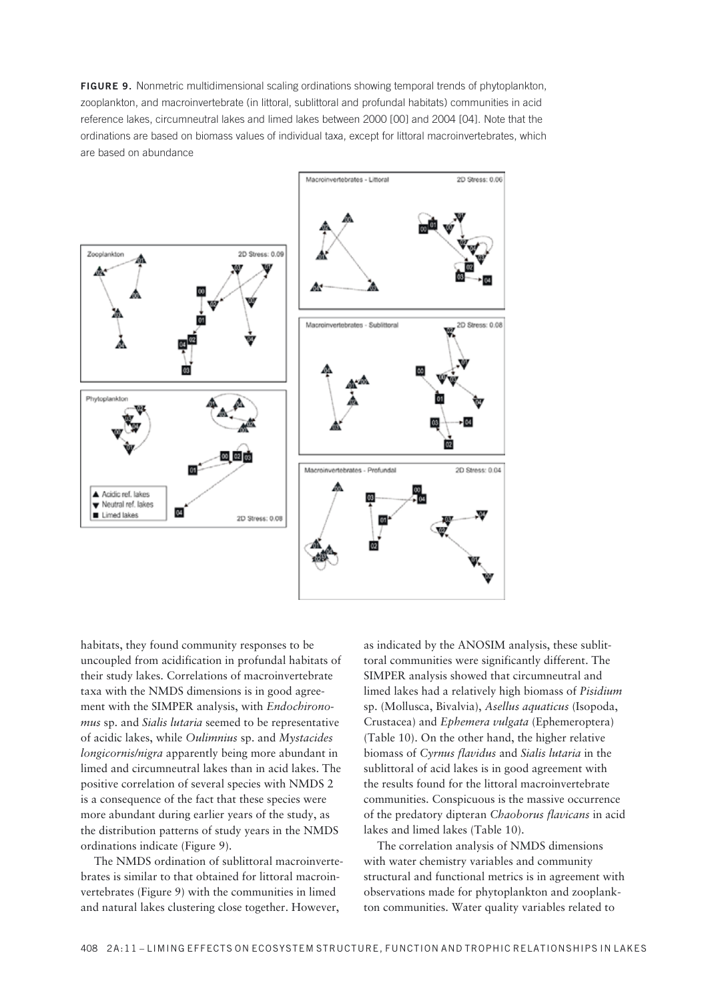**FIGURE 9.** Nonmetric multidimensional scaling ordinations showing temporal trends of phytoplankton, zooplankton, and macroinvertebrate (in littoral, sublittoral and profundal habitats) communities in acid reference lakes, circumneutral lakes and limed lakes between 2000 [00] and 2004 [04]. Note that the ordinations are based on biomass values of individual taxa, except for littoral macroinvertebrates, which are based on abundance

![](_page_16_Figure_1.jpeg)

habitats, they found community responses to be uncoupled from acidification in profundal habitats of their study lakes. Correlations of macroinvertebrate taxa with the NMDS dimensions is in good agreement with the SIMPER analysis, with *Endochironomus* sp. and *Sialis lutaria* seemed to be representative of acidic lakes, while *Oulimnius* sp. and *Mystacides longicornis/nigra* apparently being more abundant in limed and circumneutral lakes than in acid lakes. The positive correlation of several species with NMDS 2 is a consequence of the fact that these species were more abundant during earlier years of the study, as the distribution patterns of study years in the NMDS ordinations indicate (Figure 9).

The NMDS ordination of sublittoral macroinvertebrates is similar to that obtained for littoral macroinvertebrates (Figure 9) with the communities in limed and natural lakes clustering close together. However,

as indicated by the ANOSIM analysis, these sublittoral communities were significantly different. The SIMPER analysis showed that circumneutral and limed lakes had a relatively high biomass of *Pisidium* sp. (Mollusca, Bivalvia), *Asellus aquaticus* (Isopoda, Crustacea) and *Ephemera vulgata* (Ephemeroptera) (Table 10). On the other hand, the higher relative biomass of *Cyrnus flavidus* and *Sialis lutaria* in the sublittoral of acid lakes is in good agreement with the results found for the littoral macroinvertebrate communities. Conspicuous is the massive occurrence of the predatory dipteran *Chaoborus flavicans* in acid lakes and limed lakes (Table 10).

The correlation analysis of NMDS dimensions with water chemistry variables and community structural and functional metrics is in agreement with observations made for phytoplankton and zooplankton communities. Water quality variables related to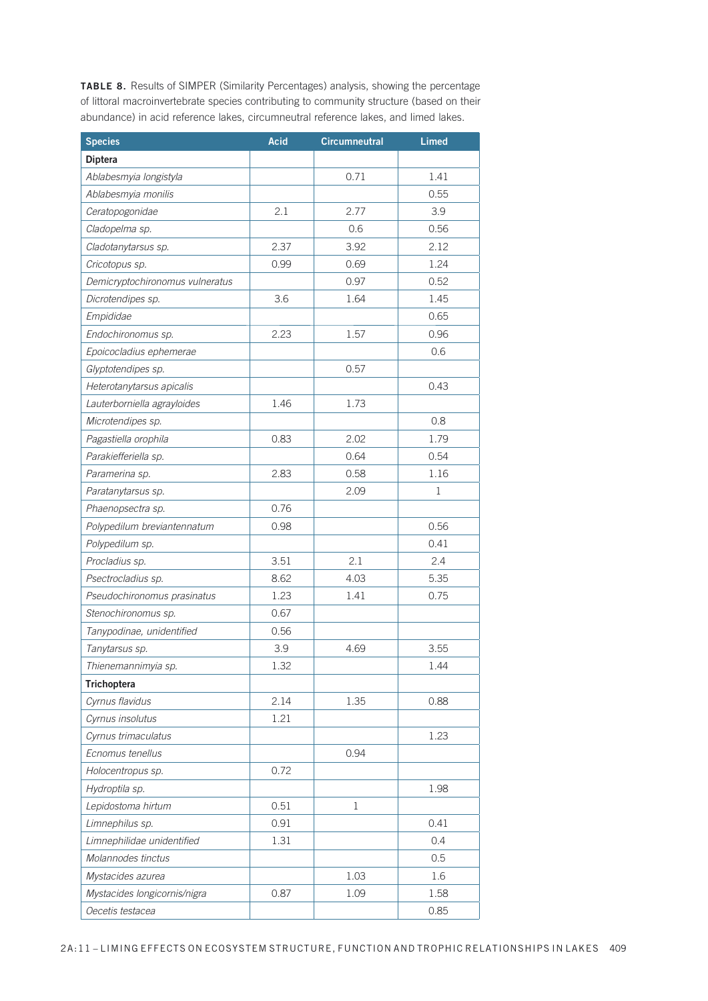**TABLE 8.** Results of SIMPER (Similarity Percentages) analysis, showing the percentage of littoral macroinvertebrate species contributing to community structure (based on their abundance) in acid reference lakes, circumneutral reference lakes, and limed lakes.

| <b>Species</b>                  | Acid | <b>Circumneutral</b> | <b>Limed</b> |
|---------------------------------|------|----------------------|--------------|
| <b>Diptera</b>                  |      |                      |              |
| Ablabesmyia longistyla          |      | 0.71                 | 1.41         |
| Ablabesmyia monilis             |      |                      | 0.55         |
| Ceratopogonidae                 | 2.1  | 2.77                 | 3.9          |
| Cladopelma sp.                  |      | 0.6                  | 0.56         |
| Cladotanytarsus sp.             | 2.37 | 3.92                 | 2.12         |
| Cricotopus sp.                  | 0.99 | 0.69                 | 1.24         |
| Demicryptochironomus vulneratus |      | 0.97                 | 0.52         |
| Dicrotendipes sp.               | 3.6  | 1.64                 | 1.45         |
| Empididae                       |      |                      | 0.65         |
| Endochironomus sp.              | 2.23 | 1.57                 | 0.96         |
| Epoicocladius ephemerae         |      |                      | 0.6          |
| Glyptotendipes sp.              |      | 0.57                 |              |
| Heterotanytarsus apicalis       |      |                      | 0.43         |
| Lauterborniella agrayloides     | 1.46 | 1.73                 |              |
| Microtendipes sp.               |      |                      | 0.8          |
| Pagastiella orophila            | 0.83 | 2.02                 | 1.79         |
| Parakiefferiella sp.            |      | 0.64                 | 0.54         |
| Paramerina sp.                  | 2.83 | 0.58                 | 1.16         |
| Paratanytarsus sp.              |      | 2.09                 | 1            |
| Phaenopsectra sp.               | 0.76 |                      |              |
| Polypedilum breviantennatum     | 0.98 |                      | 0.56         |
| Polypedilum sp.                 |      |                      | 0.41         |
| Procladius sp.                  | 3.51 | 2.1                  | 2.4          |
| Psectrocladius sp.              | 8.62 | 4.03                 | 5.35         |
| Pseudochironomus prasinatus     | 1.23 | 1.41                 | 0.75         |
| Stenochironomus sp.             | 0.67 |                      |              |
| Tanypodinae, unidentified       | 0.56 |                      |              |
| Tanytarsus sp.                  | 3.9  | 4.69                 | 3.55         |
| Thienemannimyia sp.             | 1.32 |                      | 1.44         |
| Trichoptera                     |      |                      |              |
| Cyrnus flavidus                 | 2.14 | 1.35                 | 0.88         |
| Cyrnus insolutus                | 1.21 |                      |              |
| Cyrnus trimaculatus             |      |                      | 1.23         |
| Ecnomus tenellus                |      | 0.94                 |              |
| Holocentropus sp.               | 0.72 |                      |              |
| Hydroptila sp.                  |      |                      | 1.98         |
| Lepidostoma hirtum              | 0.51 | 1                    |              |
| Limnephilus sp.                 | 0.91 |                      | 0.41         |
| Limnephilidae unidentified      | 1.31 |                      | 0.4          |
| Molannodes tinctus              |      |                      | 0.5          |
| Mystacides azurea               |      | 1.03                 | 1.6          |
| Mystacides longicornis/nigra    | 0.87 | 1.09                 | 1.58         |
| Oecetis testacea                |      |                      | 0.85         |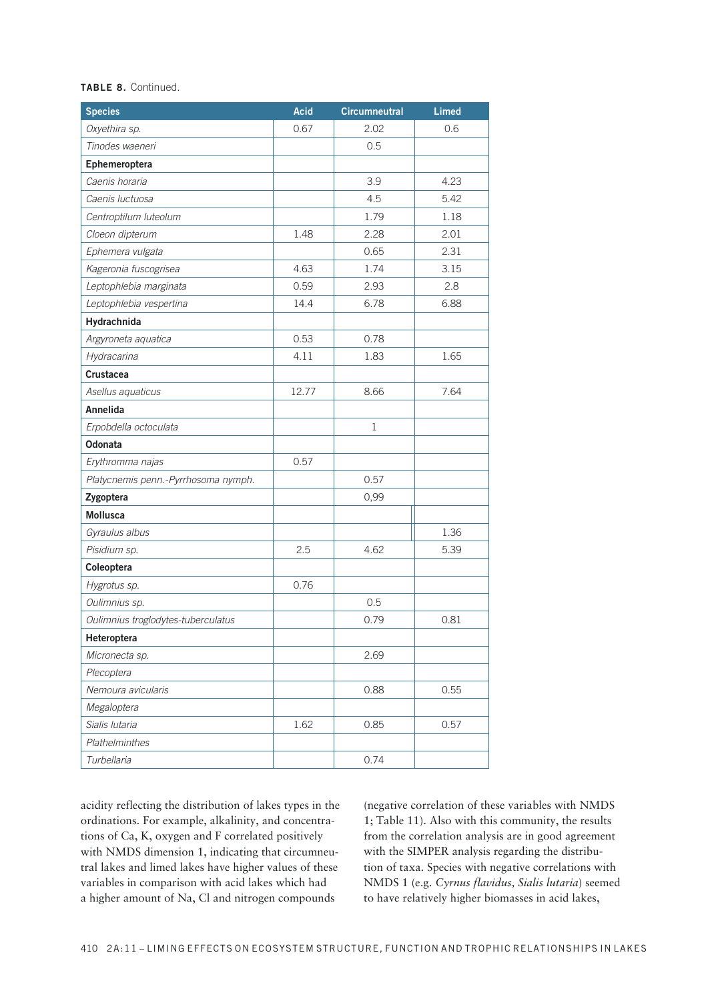### TABLE 8. Continued.

| <b>Species</b>                      | Acid  | <b>Circumneutral</b> | <b>Limed</b> |
|-------------------------------------|-------|----------------------|--------------|
| Oxyethira sp.                       | 0.67  | 2.02                 | 0.6          |
| Tinodes waeneri                     |       | 0.5                  |              |
| Ephemeroptera                       |       |                      |              |
| Caenis horaria                      |       | 3.9                  | 4.23         |
| Caenis luctuosa                     |       | 4.5                  | 5.42         |
| Centroptilum luteolum               |       | 1.79                 | 1.18         |
| Cloeon dipterum                     | 1.48  | 2.28                 | 2.01         |
| Ephemera vulgata                    |       | 0.65                 | 2.31         |
| Kageronia fuscogrisea               | 4.63  | 1.74                 | 3.15         |
| Leptophlebia marginata              | 0.59  | 2.93                 | 2.8          |
| Leptophlebia vespertina             | 14.4  | 6.78                 | 6.88         |
| Hydrachnida                         |       |                      |              |
| Argyroneta aquatica                 | 0.53  | 0.78                 |              |
| Hydracarina                         | 4.11  | 1.83                 | 1.65         |
| Crustacea                           |       |                      |              |
| Asellus aquaticus                   | 12.77 | 8.66                 | 7.64         |
| Annelida                            |       |                      |              |
| Erpobdella octoculata               |       | $\mathbf{1}$         |              |
| Odonata                             |       |                      |              |
| Erythromma najas                    | 0.57  |                      |              |
| Platycnemis penn.-Pyrrhosoma nymph. |       | 0.57                 |              |
| Zygoptera                           |       | 0,99                 |              |
| Mollusca                            |       |                      |              |
| Gyraulus albus                      |       |                      | 1.36         |
| Pisidium sp.                        | 2.5   | 4.62                 | 5.39         |
| Coleoptera                          |       |                      |              |
| Hygrotus sp.                        | 0.76  |                      |              |
| Oulimnius sp.                       |       | 0.5                  |              |
| Oulimnius troglodytes-tuberculatus  |       | 0.79                 | 0.81         |
| Heteroptera                         |       |                      |              |
| Micronecta sp.                      |       | 2.69                 |              |
| Plecoptera                          |       |                      |              |
| Nemoura avicularis                  |       | 0.88                 | 0.55         |
| Megaloptera                         |       |                      |              |
| Sialis Iutaria                      | 1.62  | 0.85                 | 0.57         |
| Plathelminthes                      |       |                      |              |
| Turbellaria                         |       | 0.74                 |              |

acidity reflecting the distribution of lakes types in the ordinations. For example, alkalinity, and concentrations of Ca, K, oxygen and F correlated positively with NMDS dimension 1, indicating that circumneutral lakes and limed lakes have higher values of these variables in comparison with acid lakes which had a higher amount of Na, Cl and nitrogen compounds

(negative correlation of these variables with NMDS 1; Table 11). Also with this community, the results from the correlation analysis are in good agreement with the SIMPER analysis regarding the distribution of taxa. Species with negative correlations with NMDS 1 (e.g. Cyrnus flavidus, Sialis lutaria) seemed to have relatively higher biomasses in acid lakes,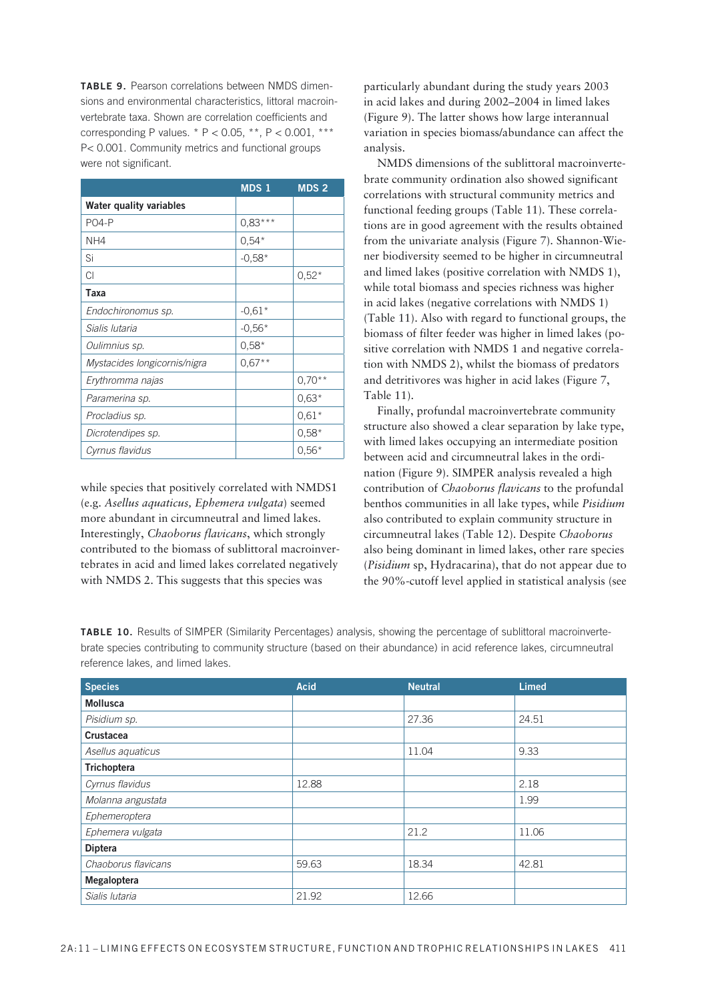**TABLE 9.** Pearson correlations between NMDS dimensions and environmental characteristics, littoral macroinvertebrate taxa. Shown are correlation coefficients and corresponding P values. \*  $P < 0.05$ , \*\*,  $P < 0.001$ , \*\*\* P< 0.001. Community metrics and functional groups were not significant.

|                                | <b>MDS1</b> | <b>MDS 2</b> |
|--------------------------------|-------------|--------------|
| <b>Water quality variables</b> |             |              |
| <b>PO4-P</b>                   | $0.83***$   |              |
| NH4                            | $0.54*$     |              |
| Si                             | $-0.58*$    |              |
| CI                             |             | $0,52*$      |
| Taxa                           |             |              |
| Endochironomus sp.             | $-0.61*$    |              |
| Sialis Iutaria                 | $-0.56*$    |              |
| Oulimnius sp.                  | $0.58*$     |              |
| Mystacides longicornis/nigra   | $0,67**$    |              |
| Erythromma najas               |             | $0.70**$     |
| Paramerina sp.                 |             | $0.63*$      |
| Procladius sp.                 |             | $0.61*$      |
| Dicrotendipes sp.              |             | $0,58*$      |
| Cyrnus flavidus                |             | $0,56*$      |

while species that positively correlated with NMDS1 (e.g. *Asellus aquaticus, Ephemera vulgata*) seemed more abundant in circumneutral and limed lakes. Interestingly, *Chaoborus flavicans*, which strongly contributed to the biomass of sublittoral macroinvertebrates in acid and limed lakes correlated negatively with NMDS 2. This suggests that this species was

particularly abundant during the study years 2003 in acid lakes and during 2002-2004 in limed lakes (Figure 9). The latter shows how large interannual variation in species biomass/abundance can affect the analysis.

NMDS dimensions of the sublittoral macroinvertebrate community ordination also showed significant correlations with structural community metrics and functional feeding groups (Table 11). These correlations are in good agreement with the results obtained from the univariate analysis (Figure 7). Shannon-Wiener biodiversity seemed to be higher in circumneutral and limed lakes (positive correlation with NMDS 1), while total biomass and species richness was higher in acid lakes (negative correlations with NMDS 1) (Table 11). Also with regard to functional groups, the biomass of filter feeder was higher in limed lakes (positive correlation with NMDS 1 and negative correlation with NMDS 2), whilst the biomass of predators and detritivores was higher in acid lakes (Figure 7, Table 11).

Finally, profundal macroinvertebrate community structure also showed a clear separation by lake type, with limed lakes occupying an intermediate position between acid and circumneutral lakes in the ordination (Figure 9). SIMPER analysis revealed a high contribution of *Chaoborus flavicans* to the profundal benthos communities in all lake types, while *Pisidium* also contributed to explain community structure in circumneutral lakes (Table 12). Despite *Chaoborus* also being dominant in limed lakes, other rare species (*Pisidium* sp, Hydracarina), that do not appear due to the 90%-cutoff level applied in statistical analysis (see

**TABLE 10.** Results of SIMPER (Similarity Percentages) analysis, showing the percentage of sublittoral macroinvertebrate species contributing to community structure (based on their abundance) in acid reference lakes, circumneutral reference lakes, and limed lakes.

| <b>Species</b>      | <b>Acid</b><br><b>Neutral</b> |       |       |  |  |
|---------------------|-------------------------------|-------|-------|--|--|
| <b>Mollusca</b>     |                               |       |       |  |  |
| Pisidium sp.        |                               | 27.36 | 24.51 |  |  |
| Crustacea           |                               |       |       |  |  |
| Asellus aquaticus   |                               | 11.04 | 9.33  |  |  |
| <b>Trichoptera</b>  |                               |       |       |  |  |
| Cyrnus flavidus     | 12.88                         |       | 2.18  |  |  |
| Molanna angustata   |                               |       | 1.99  |  |  |
| Ephemeroptera       |                               |       |       |  |  |
| Ephemera vulgata    |                               | 21.2  | 11.06 |  |  |
| <b>Diptera</b>      |                               |       |       |  |  |
| Chaoborus flavicans | 59.63                         | 18.34 | 42.81 |  |  |
| Megaloptera         |                               |       |       |  |  |
| Sialis Iutaria      | 21.92                         | 12.66 |       |  |  |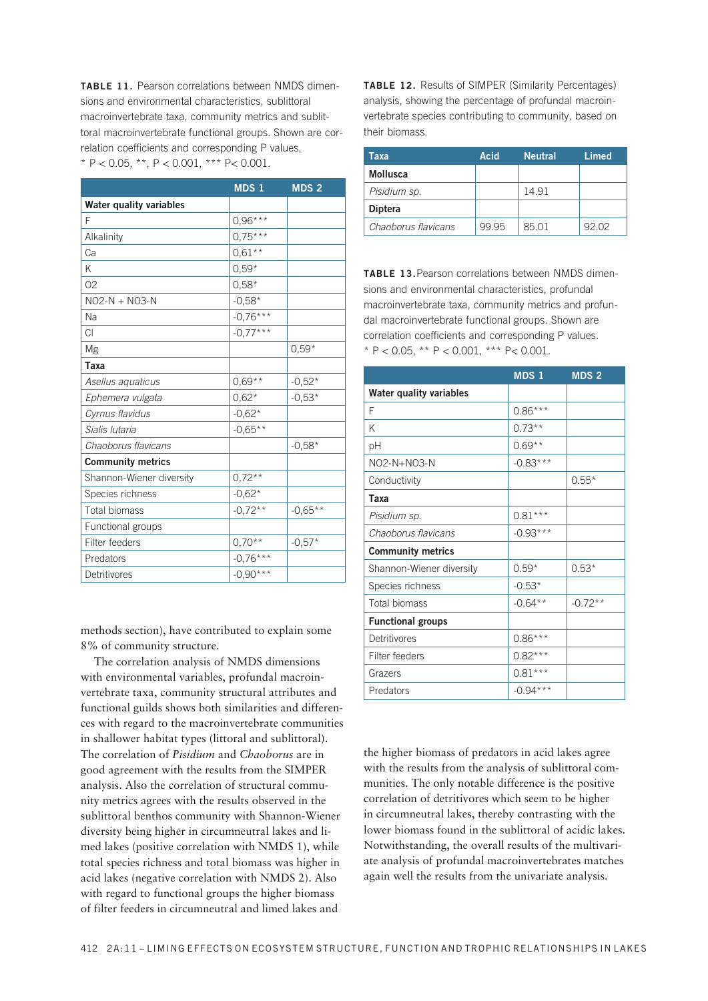**TABLE 11.** Pearson correlations between NMDS dimensions and environmental characteristics, sublittoral macroinvertebrate taxa, community metrics and sublittoral macroinvertebrate functional groups. Shown are correlation coefficients and corresponding P values. \* P < 0.05, \*\*, P < 0.001, \*\*\* P< 0.001.

|                                | MDS 1      | <b>MDS 2</b> |
|--------------------------------|------------|--------------|
| <b>Water quality variables</b> |            |              |
| F                              | $0.96***$  |              |
| Alkalinity                     | $0,75***$  |              |
| Ca                             | $0,61**$   |              |
| Κ                              | $0.59*$    |              |
| O <sub>2</sub>                 | $0.58*$    |              |
| $NO2-N + NO3-N$                | $-0,58*$   |              |
| Na                             | $-0,76***$ |              |
| <b>CI</b>                      | $-0,77***$ |              |
| Mg                             |            | $0.59*$      |
| Taxa                           |            |              |
| Asellus aquaticus              | $0,69**$   | $-0,52*$     |
| Ephemera vulgata               | $0,62*$    | $-0,53*$     |
| Cyrnus flavidus                | $-0.62*$   |              |
| Sialis Iutaria                 | $-0,65**$  |              |
| Chaoborus flavicans            |            | $-0.58*$     |
| <b>Community metrics</b>       |            |              |
| Shannon-Wiener diversity       | $0,72**$   |              |
| Species richness               | $-0,62*$   |              |
| <b>Total biomass</b>           | $-0.72**$  | $-0,65**$    |
| Functional groups              |            |              |
| Filter feeders                 | $0,70**$   | $-0,57*$     |
| Predators                      | $-0,76***$ |              |
| Detritivores                   | $-0.90***$ |              |

methods section), have contributed to explain some 8% of community structure.

The correlation analysis of NMDS dimensions with environmental variables, profundal macroinvertebrate taxa, community structural attributes and functional guilds shows both similarities and differences with regard to the macroinvertebrate communities in shallower habitat types (littoral and sublittoral). The correlation of *Pisidium* and *Chaoborus* are in good agreement with the results from the SIMPER analysis. Also the correlation of structural community metrics agrees with the results observed in the sublittoral benthos community with Shannon-Wiener diversity being higher in circumneutral lakes and limed lakes (positive correlation with NMDS 1), while total species richness and total biomass was higher in acid lakes (negative correlation with NMDS 2). Also with regard to functional groups the higher biomass of filter feeders in circumneutral and limed lakes and

**TABLE 12.** Results of SIMPER (Similarity Percentages) analysis, showing the percentage of profundal macroinvertebrate species contributing to community, based on their biomass.

| Taxa                | Acid  | <b>Neutral</b> | Limed |
|---------------------|-------|----------------|-------|
| Mollusca            |       |                |       |
| Pisidium sp.        |       | 14.91          |       |
| <b>Diptera</b>      |       |                |       |
| Chaoborus flavicans | 99 95 | 85.01          | 92.02 |

**TABLE 13.**Pearson correlations between NMDS dimensions and environmental characteristics, profundal macroinvertebrate taxa, community metrics and profundal macroinvertebrate functional groups. Shown are correlation coefficients and corresponding P values. \* P < 0.05, \*\* P < 0.001, \*\*\* P< 0.001.

|                                | MDS <sub>1</sub> | <b>MDS2</b> |
|--------------------------------|------------------|-------------|
| <b>Water quality variables</b> |                  |             |
| F                              | $0.86***$        |             |
| K                              | $0.73***$        |             |
| pH                             | $0.69**$         |             |
| NO2-N+NO3-N                    | $-0.83***$       |             |
| Conductivity                   |                  | $0.55*$     |
| Taxa                           |                  |             |
| Pisidium sp.                   | $0.81***$        |             |
| Chaoborus flavicans            | $-0.93***$       |             |
| <b>Community metrics</b>       |                  |             |
| Shannon-Wiener diversity       | $0.59*$          | $0.53*$     |
| Species richness               | $-0.53*$         |             |
| <b>Total biomass</b>           | $-0.64**$        | $-0.72**$   |
| <b>Functional groups</b>       |                  |             |
| Detritivores                   | $0.86***$        |             |
| Filter feeders                 | $0.82***$        |             |
| Grazers                        | $0.81***$        |             |
| Predators                      | $-0.94***$       |             |

the higher biomass of predators in acid lakes agree with the results from the analysis of sublittoral communities. The only notable difference is the positive correlation of detritivores which seem to be higher in circumneutral lakes, thereby contrasting with the lower biomass found in the sublittoral of acidic lakes. Notwithstanding, the overall results of the multivariate analysis of profundal macroinvertebrates matches again well the results from the univariate analysis.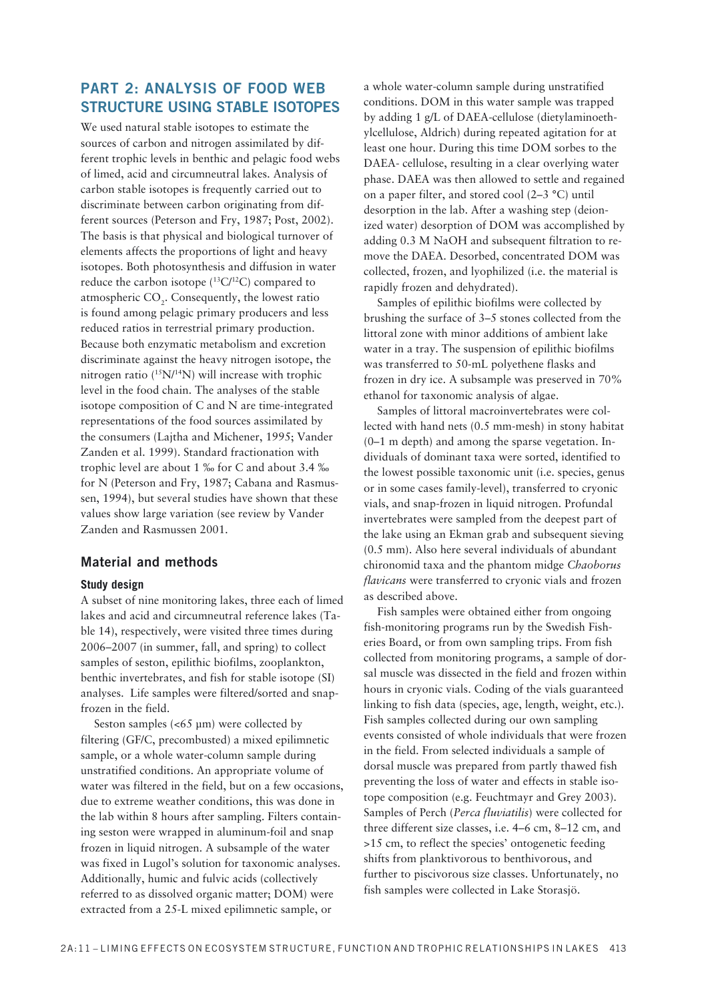### **PART 2: ANALYSIS OF FOOD WEB STRUCTURE USING STABLE ISOTOPES**

We used natural stable isotones to estimate the sources of carbon and nitrogen assimilated by different trophic levels in benthic and pelagic food webs of limed, acid and circumneutral lakes. Analysis of carbon stable isotopes is frequently carried out to discriminate between carbon originating from different sources (Peterson and Fry, 1987; Post, 2002). The basis is that physical and biological turnover of elements affects the proportions of light and heavy isotopes. Both photosynthesis and diffusion in water reduce the carbon isotope  $(^{13}C/^{12}C)$  compared to atmospheric CO<sub>2</sub>. Consequently, the lowest ratio is found among pelagic primary producers and less reduced ratios in terrestrial primary production. Because both enzymatic metabolism and excretion discriminate against the heavy nitrogen isotope, the nitrogen ratio  $(^{15}N/^{14}N)$  will increase with trophic level in the food chain. The analyses of the stable isotope composition of C and N are time-integrated representations of the food sources assimilated by the consumers (Lajtha and Michener, 1995; Vander Zanden et al. 1999). Standard fractionation with trophic level are about 1 ‰ for C and about 3.4 ‰ for N (Peterson and Fry, 1987; Cabana and Rasmussen, 1994), but several studies have shown that these values show large variation (see review by Vander Zanden and Rasmussen 2001.

### **Material and methods**

### **Study design**

A subset of nine monitoring lakes, three each of limed lakes and acid and circumneutral reference lakes (Table 14), respectively, were visited three times during 2006–2007 (in summer, fall, and spring) to collect samples of seston, epilithic biofilms, zooplankton, benthic invertebrates, and fish for stable isotope (SI) analyses. Life samples were filtered/sorted and snapfrozen in the field.

Seston samples  $\langle 65 \text{ \mu m} \rangle$  were collected by filtering (GF/C, precombusted) a mixed epilimnetic sample, or a whole water-column sample during unstratified conditions. An appropriate volume of water was filtered in the field, but on a few occasions, due to extreme weather conditions, this was done in the lab within 8 hours after sampling. Filters containing seston were wrapped in aluminum-foil and snap frozen in liquid nitrogen. A subsample of the water was fixed in Lugol's solution for taxonomic analyses. Additionally, humic and fulvic acids (collectively referred to as dissolved organic matter: DOM) were extracted from a 25-L mixed epilimnetic sample, or

a whole water-column sample during unstratified conditions. DOM in this water sample was trapped by adding 1 g/L of DAEA-cellulose (dietylaminoethylcellulose, Aldrich) during repeated agitation for at least one hour. During this time DOM sorbes to the DAEA- cellulose, resulting in a clear overlying water phase. DAEA was then allowed to settle and regained on a paper filter, and stored cool (2–3 °C) until desorption in the lab. After a washing step (deionized water) desorption of DOM was accomplished by adding 0.3 M NaOH and subsequent filtration to remove the DAEA. Desorbed, concentrated DOM was collected, frozen, and lyophilized (i.e. the material is rapidly frozen and dehydrated).

Samples of epilithic biofilms were collected by brushing the surface of 3-5 stones collected from the littoral zone with minor additions of ambient lake water in a tray. The suspension of epilithic biofilms was transferred to 50-mL polyethene flasks and frozen in dry ice. A subsample was preserved in 70% ethanol for taxonomic analysis of algae.

Samples of littoral macroinvertebrates were collected with hand nets (0.5 mm-mesh) in stony habitat (0-1 m depth) and among the sparse vegetation. Individuals of dominant taxa were sorted, identified to the lowest possible taxonomic unit (i.e. species, genus or in some cases family-level), transferred to cryonic vials, and snap-frozen in liquid nitrogen. Profundal invertebrates were sampled from the deepest part of the lake using an Ekman grab and subsequent sieving (0.5 mm). Also here several individuals of abundant chironomid taxa and the phantom midge Chaoborus *flavicans* were transferred to cryonic vials and frozen as described above.

Fish samples were obtained either from ongoing fish-monitoring programs run by the Swedish Fisheries Board, or from own sampling trips. From fish collected from monitoring programs, a sample of dorsal muscle was dissected in the field and frozen within hours in cryonic vials. Coding of the vials guaranteed linking to fish data (species, age, length, weight, etc.). Fish samples collected during our own sampling events consisted of whole individuals that were frozen in the field. From selected individuals a sample of dorsal muscle was prepared from partly thawed fish preventing the loss of water and effects in stable isotope composition (e.g. Feuchtmayr and Grey 2003). Samples of Perch (Perca fluviatilis) were collected for three different size classes, i.e. 4–6 cm, 8–12 cm, and >15 cm, to reflect the species' ontogenetic feeding shifts from planktivorous to benthivorous, and further to piscivorous size classes. Unfortunately, no fish samples were collected in Lake Storasjö.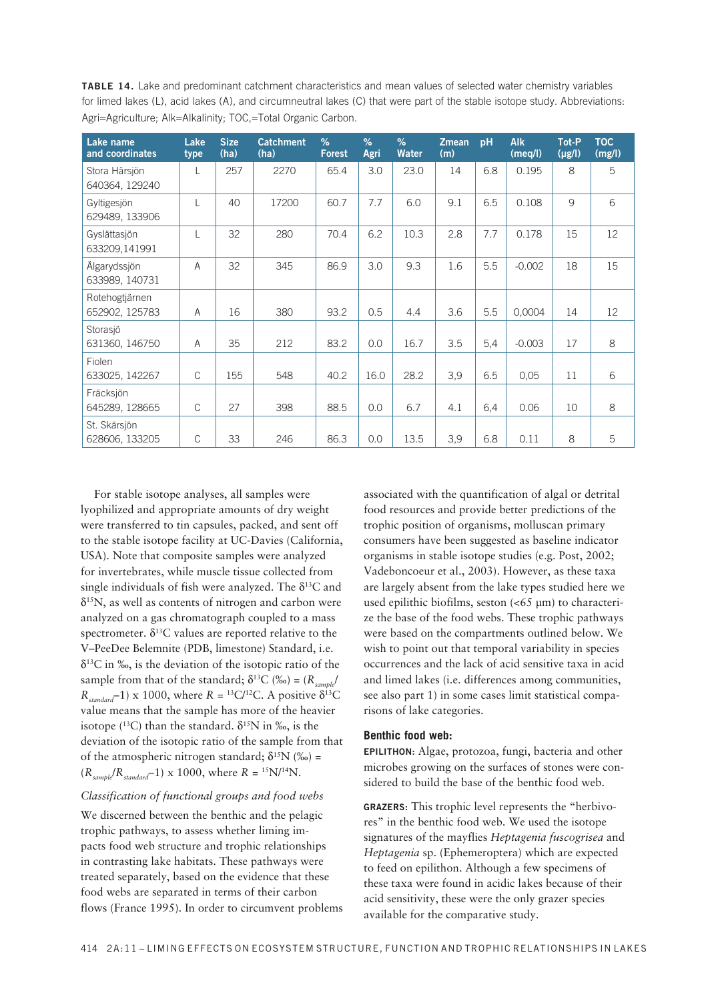| <b>TABLE 14.</b> Lake and predominant catchment characteristics and mean values of selected water chemistry variables       |  |
|-----------------------------------------------------------------------------------------------------------------------------|--|
| for limed lakes (L), acid lakes (A), and circumneutral lakes (C) that were part of the stable isotope study. Abbreviations: |  |
| Agri=Agriculture; Alk=Alkalinity; TOC,=Total Organic Carbon.                                                                |  |

| Lake name<br>and coordinates     | Lake<br>type | <b>Size</b><br>(ha) | <b>Catchment</b><br>(ha) | $\%$<br><b>Forest</b> | $\frac{9}{6}$<br>Agri | $\%$<br><b>Water</b> | <b>Zmean</b><br>(m) | pH  | <b>Alk</b><br>(meq/l) | Tot-P<br>$(\mu g/l)$ | <b>TOC</b><br>(mg/l) |
|----------------------------------|--------------|---------------------|--------------------------|-----------------------|-----------------------|----------------------|---------------------|-----|-----------------------|----------------------|----------------------|
| Stora Härsjön<br>640364, 129240  |              | 257                 | 2270                     | 65.4                  | 3.0                   | 23.0                 | 14                  | 6.8 | 0.195                 | 8                    | 5                    |
| Gyltigesjön<br>629489, 133906    |              | 40                  | 17200                    | 60.7                  | 7.7                   | 6.0                  | 9.1                 | 6.5 | 0.108                 | 9                    | 6                    |
| Gyslättasjön<br>633209,141991    | L            | 32                  | 280                      | 70.4                  | 6.2                   | 10.3                 | 2.8                 | 7.7 | 0.178                 | 15                   | 12                   |
| Älgarydssjön<br>633989, 140731   | A            | 32                  | 345                      | 86.9                  | 3.0                   | 9.3                  | 1.6                 | 5.5 | $-0.002$              | 18                   | 15                   |
| Rotehogtjärnen<br>652902, 125783 | A            | 16                  | 380                      | 93.2                  | 0.5                   | 4.4                  | 3.6                 | 5.5 | 0,0004                | 14                   | 12                   |
| Storasjö<br>631360, 146750       | A            | 35                  | 212                      | 83.2                  | 0.0                   | 16.7                 | 3.5                 | 5,4 | $-0.003$              | 17                   | 8                    |
| Fiolen<br>633025, 142267         | $\mathsf{C}$ | 155                 | 548                      | 40.2                  | 16.0                  | 28.2                 | 3,9                 | 6.5 | 0.05                  | 11                   | 6                    |
| Fräcksjön<br>645289, 128665      | $\mathsf{C}$ | 27                  | 398                      | 88.5                  | 0.0                   | 6.7                  | 4.1                 | 6,4 | 0.06                  | 10                   | 8                    |
| St. Skärsjön<br>628606, 133205   | $\mathsf{C}$ | 33                  | 246                      | 86.3                  | 0.0                   | 13.5                 | 3,9                 | 6.8 | 0.11                  | 8                    | 5                    |

For stable isotope analyses, all samples were lyophilized and appropriate amounts of dry weight were transferred to tin capsules, packed, and sent off to the stable isotope facility at UC-Davies (California, USA). Note that composite samples were analyzed for invertebrates, while muscle tissue collected from single individuals of fish were analyzed. The  $\delta^{13}$ C and  $\delta$ <sup>15</sup>N, as well as contents of nitrogen and carbon were analyzed on a gas chromatograph coupled to a mass spectrometer.  $\delta^{13}$ C values are reported relative to the V-PeeDee Belemnite (PDB, limestone) Standard, i.e.  $\delta^{13}$ C in ‰, is the deviation of the isotopic ratio of the sample from that of the standard;  $\delta^{13}C$  (%o) = ( $R_{\text{cumb}}/R$  $R_{standard}$  1) x 1000, where  $R = {}^{13}C/{}^{12}C$ . A positive  $\delta {}^{13}C$ value means that the sample has more of the heavier isotope ( $^{13}$ C) than the standard.  $\delta^{15}$ N in ‰, is the deviation of the isotopic ratio of the sample from that of the atmospheric nitrogen standard;  $\delta^{15}N$  (%) =  $(R_{sample}/R_{standard} - 1) \times 1000$ , where  $R = {^{15}N}/{^{14}N}$ .

### Classification of functional groups and food webs

We discerned between the benthic and the pelagic trophic pathways, to assess whether liming impacts food web structure and trophic relationships in contrasting lake habitats. These pathways were treated separately, based on the evidence that these food webs are separated in terms of their carbon flows (France 1995). In order to circumvent problems associated with the quantification of algal or detrital food resources and provide better predictions of the trophic position of organisms, molluscan primary consumers have been suggested as baseline indicator organisms in stable isotope studies (e.g. Post, 2002; Vadeboncoeur et al., 2003). However, as these taxa are largely absent from the lake types studied here we used epilithic biofilms, seston (<65 µm) to characterize the base of the food webs. These trophic pathways were based on the compartments outlined below. We wish to point out that temporal variability in species occurrences and the lack of acid sensitive taxa in acid and limed lakes (i.e. differences among communities, see also part 1) in some cases limit statistical comparisons of lake categories.

### Benthic food web:

EPILITHON: Algae, protozoa, fungi, bacteria and other microbes growing on the surfaces of stones were considered to build the base of the benthic food web.

GRAZERS: This trophic level represents the "herbivores" in the benthic food web. We used the isotope signatures of the mayflies Heptagenia fuscogrisea and Heptagenia sp. (Ephemeroptera) which are expected to feed on epilithon. Although a few specimens of these taxa were found in acidic lakes because of their acid sensitivity, these were the only grazer species available for the comparative study.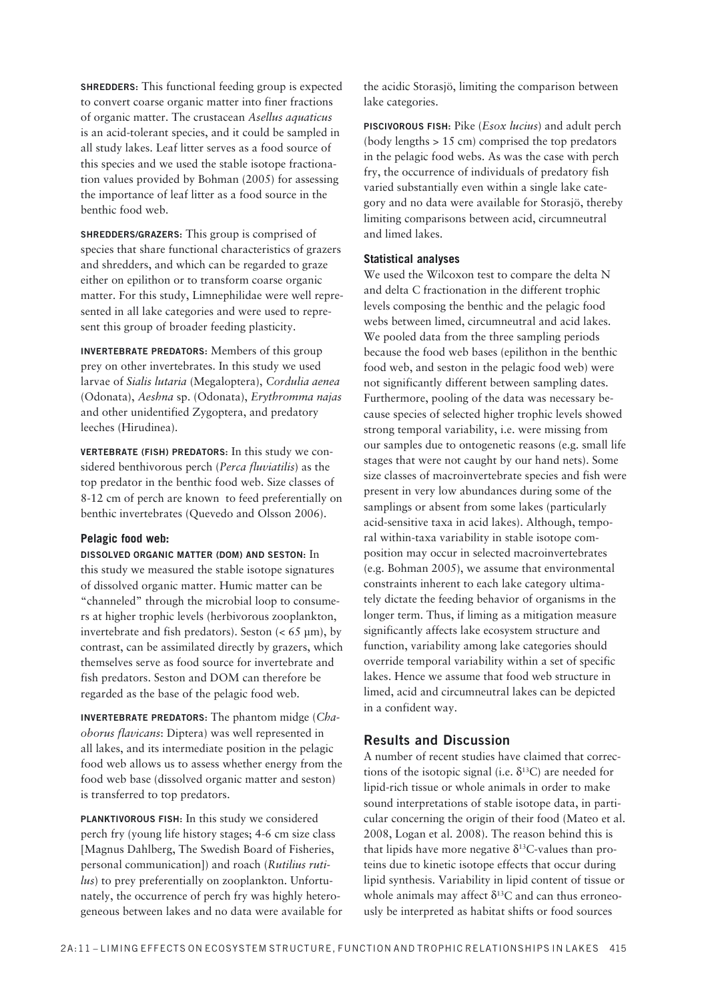**SHREDDERS:** This functional feeding group is expected to convert coarse organic matter into finer fractions of organic matter. The crustacean *Asellus aquaticus* is an acid-tolerant species, and it could be sampled in all study lakes. Leaf litter serves as a food source of this species and we used the stable isotope fractionation values provided by Bohman (2005) for assessing the importance of leaf litter as a food source in the benthic food web.

**SHREDDERS/GRAZERS:** This group is comprised of species that share functional characteristics of grazers and shredders, and which can be regarded to graze either on epilithon or to transform coarse organic matter. For this study, Limnephilidae were well represented in all lake categories and were used to represent this group of broader feeding plasticity.

**INVERTEBRATE PREDATORS:** Members of this group prey on other invertebrates. In this study we used larvae of *Sialis lutaria* (Megaloptera), *Cordulia aenea* (Odonata), *Aeshna* sp. (Odonata), *Erythromma najas* and other unidentified Zygoptera, and predatory leeches (Hirudinea).

**VERTEBRATE (FISH) PREDATORS:** In this study we considered benthivorous perch (*Perca fluviatilis*) as the top predator in the benthic food web. Size classes of 8-12 cm of perch are known to feed preferentially on benthic invertebrates (Quevedo and Olsson 2006).

### **Pelagic food web:**

**DISSOLVED ORGANIC MATTER (DOM) AND SESTON:** In this study we measured the stable isotope signatures of dissolved organic matter. Humic matter can be "channeled" through the microbial loop to consumers at higher trophic levels (herbivorous zooplankton, invertebrate and fish predators). Seston  $(< 65 \text{ µm})$ , by contrast, can be assimilated directly by grazers, which themselves serve as food source for invertebrate and fish predators. Seston and DOM can therefore be regarded as the base of the pelagic food web.

**INVERTEBRATE PREDATORS:** The phantom midge (*Chaoborus flavicans*: Diptera) was well represented in all lakes, and its intermediate position in the pelagic food web allows us to assess whether energy from the food web base (dissolved organic matter and seston) is transferred to top predators.

**PLANKTIVOROUS FISH:** In this study we considered perch fry (young life history stages; 4-6 cm size class [Magnus Dahlberg, The Swedish Board of Fisheries, personal communication]) and roach (*Rutilius rutilus*) to prey preferentially on zooplankton. Unfortunately, the occurrence of perch fry was highly heterogeneous between lakes and no data were available for the acidic Storasjö, limiting the comparison between lake categories.

**PISCIVOROUS FISH:** Pike (*Esox lucius*) and adult perch (body lengths > 15 cm) comprised the top predators in the pelagic food webs. As was the case with perch fry, the occurrence of individuals of predatory fish varied substantially even within a single lake category and no data were available for Storasjö, thereby limiting comparisons between acid, circumneutral and limed lakes.

### **Statistical analyses**

We used the Wilcoxon test to compare the delta N and delta C fractionation in the different trophic levels composing the benthic and the pelagic food webs between limed, circumneutral and acid lakes. We pooled data from the three sampling periods because the food web bases (epilithon in the benthic food web, and seston in the pelagic food web) were not significantly different between sampling dates. Furthermore, pooling of the data was necessary because species of selected higher trophic levels showed strong temporal variability, i.e. were missing from our samples due to ontogenetic reasons (e.g. small life stages that were not caught by our hand nets). Some size classes of macroinvertebrate species and fish were present in very low abundances during some of the samplings or absent from some lakes (particularly acid-sensitive taxa in acid lakes). Although, temporal within-taxa variability in stable isotope composition may occur in selected macroinvertebrates (e.g. Bohman 2005), we assume that environmental constraints inherent to each lake category ultimately dictate the feeding behavior of organisms in the longer term. Thus, if liming as a mitigation measure significantly affects lake ecosystem structure and function, variability among lake categories should override temporal variability within a set of specific lakes. Hence we assume that food web structure in limed, acid and circumneutral lakes can be depicted in a confident way.

### **Results and Discussion**

A number of recent studies have claimed that corrections of the isotopic signal (i.e.  $\delta^{13}$ C) are needed for lipid-rich tissue or whole animals in order to make sound interpretations of stable isotope data, in particular concerning the origin of their food (Mateo et al. 2008, Logan et al. 2008). The reason behind this is that lipids have more negative  $\delta^{13}$ C-values than proteins due to kinetic isotope effects that occur during lipid synthesis. Variability in lipid content of tissue or whole animals may affect  $\delta^{13}$ C and can thus erroneously be interpreted as habitat shifts or food sources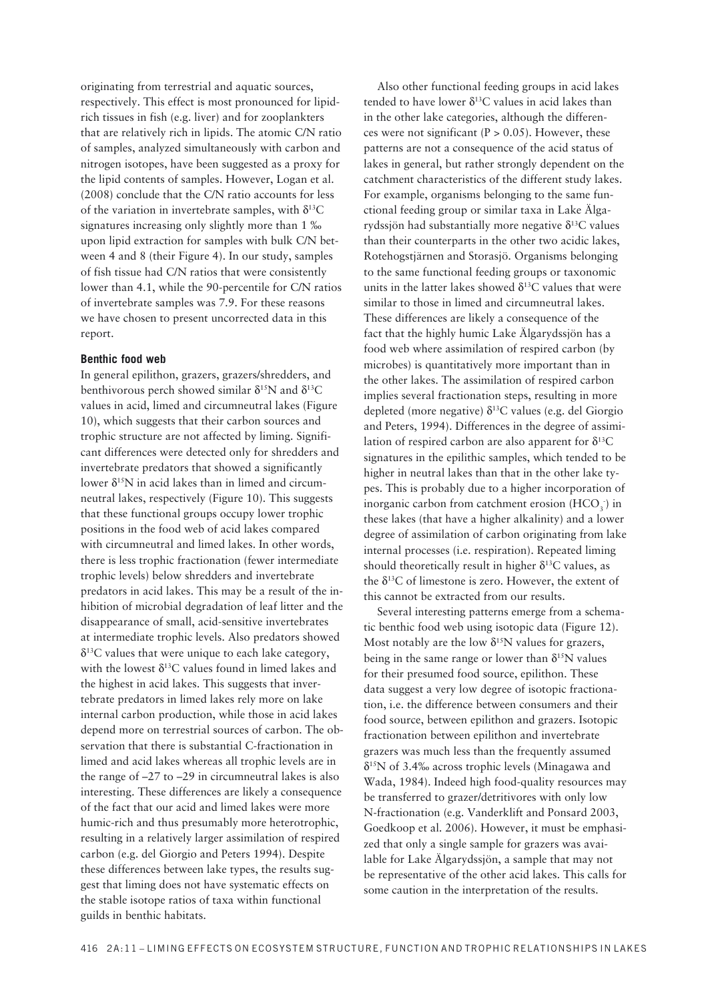originating from terrestrial and aquatic sources, respectively. This effect is most pronounced for lipidrich tissues in fish (e.g. liver) and for zooplankters that are relatively rich in lipids. The atomic C/N ratio of samples, analyzed simultaneously with carbon and nitrogen isotopes, have been suggested as a proxy for the lipid contents of samples. However, Logan et al.  $(2008)$  conclude that the C/N ratio accounts for less of the variation in invertebrate samples, with  $\delta^{13}C$ signatures increasing only slightly more than 1 ‰ upon lipid extraction for samples with bulk C/N between 4 and 8 (their Figure 4). In our study, samples of fish tissue had C/N ratios that were consistently lower than 4.1, while the 90-percentile for C/N ratios of invertebrate samples was 7.9. For these reasons we have chosen to present uncorrected data in this report.

### **Benthic food web**

In general epilithon, grazers, grazers/shredders, and benthivorous perch showed similar  $\delta^{15}N$  and  $\delta^{13}C$ values in acid, limed and circumneutral lakes (Figure 10), which suggests that their carbon sources and trophic structure are not affected by liming. Significant differences were detected only for shredders and invertebrate predators that showed a significantly lower  $\delta^{15}N$  in acid lakes than in limed and circumneutral lakes, respectively (Figure 10). This suggests that these functional groups occupy lower trophic positions in the food web of acid lakes compared with circumneutral and limed lakes. In other words, there is less trophic fractionation (fewer intermediate trophic levels) below shredders and invertebrate predators in acid lakes. This may be a result of the inhibition of microbial degradation of leaf litter and the disappearance of small, acid-sensitive invertebrates at intermediate trophic levels. Also predators showed  $\delta^{13}$ C values that were unique to each lake category, with the lowest  $\delta^{13}$ C values found in limed lakes and the highest in acid lakes. This suggests that invertebrate predators in limed lakes rely more on lake internal carbon production, while those in acid lakes depend more on terrestrial sources of carbon. The observation that there is substantial C-fractionation in limed and acid lakes whereas all trophic levels are in the range of  $-27$  to  $-29$  in circumneutral lakes is also interesting. These differences are likely a consequence of the fact that our acid and limed lakes were more humic-rich and thus presumably more heterotrophic, resulting in a relatively larger assimilation of respired carbon (e.g. del Giorgio and Peters 1994). Despite these differences between lake types, the results suggest that liming does not have systematic effects on the stable isotope ratios of taxa within functional guilds in benthic habitats.

Also other functional feeding groups in acid lakes tended to have lower  $\delta^{13}$ C values in acid lakes than in the other lake categories, although the differences were not significant ( $P > 0.05$ ). However, these patterns are not a consequence of the acid status of lakes in general, but rather strongly dependent on the catchment characteristics of the different study lakes. For example, organisms belonging to the same functional feeding group or similar taxa in Lake Älgarydssjön had substantially more negative  $\delta^{13}$ C values than their counterparts in the other two acidic lakes, Rotehogstjärnen and Storasjö. Organisms belonging to the same functional feeding groups or taxonomic units in the latter lakes showed  $\delta^{13}$ C values that were similar to those in limed and circumneutral lakes. These differences are likely a consequence of the fact that the highly humic Lake Älgarydssjön has a food web where assimilation of respired carbon (by microbes) is quantitatively more important than in the other lakes. The assimilation of respired carbon implies several fractionation steps, resulting in more depleted (more negative)  $\delta^{13}$ C values (e.g. del Giorgio and Peters, 1994). Differences in the degree of assimilation of respired carbon are also apparent for  $\delta^{13}C$ signatures in the epilithic samples, which tended to be higher in neutral lakes than that in the other lake types. This is probably due to a higher incorporation of inorganic carbon from catchment erosion  $(HCO<sub>3</sub>)$  in these lakes (that have a higher alkalinity) and a lower degree of assimilation of carbon originating from lake internal processes (i.e. respiration). Repeated liming should theoretically result in higher  $\delta^{13}$ C values, as the  $\delta^{13}$ C of limestone is zero. However, the extent of this cannot be extracted from our results.

Several interesting patterns emerge from a schematic benthic food web using isotopic data (Figure 12). Most notably are the low  $\delta^{15}N$  values for grazers, being in the same range or lower than  $\delta^{15}N$  values for their presumed food source, epilithon. These data suggest a very low degree of isotopic fractionation, i.e. the difference between consumers and their food source, between epilithon and grazers. Isotopic fractionation between epilithon and invertebrate grazers was much less than the frequently assumed  $\delta^{15}N$  of 3.4‰ across trophic levels (Minagawa and Wada, 1984). Indeed high food-quality resources may be transferred to grazer/detritivores with only low N-fractionation (e.g. Vanderklift and Ponsard 2003, Goedkoop et al. 2006). However, it must be emphasized that only a single sample for grazers was avai lable for Lake Älgarydssjön, a sample that may not be representative of the other acid lakes. This calls for some caution in the interpretation of the results.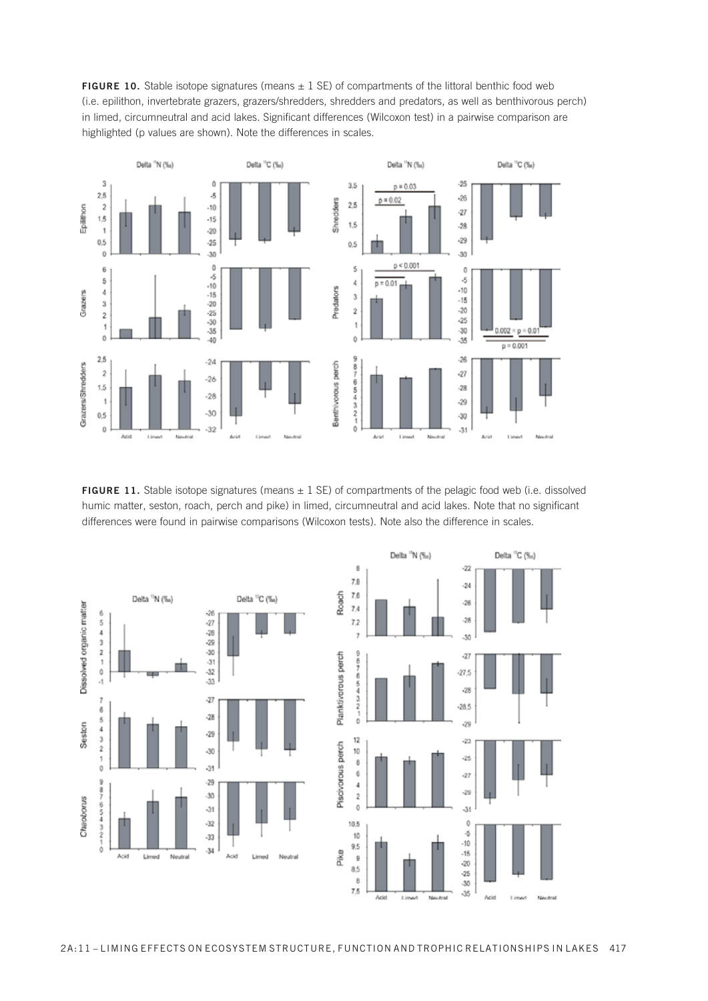![](_page_25_Figure_0.jpeg)

![](_page_25_Figure_1.jpeg)

FIGURE 11. Stable isotope signatures (means  $\pm$  1 SE) of compartments of the pelagic food web (i.e. dissolved humic matter, seston, roach, perch and pike) in limed, circumneutral and acid lakes. Note that no significant differences were found in pairwise comparisons (Wilcoxon tests). Note also the difference in scales.

![](_page_25_Figure_3.jpeg)

![](_page_25_Figure_4.jpeg)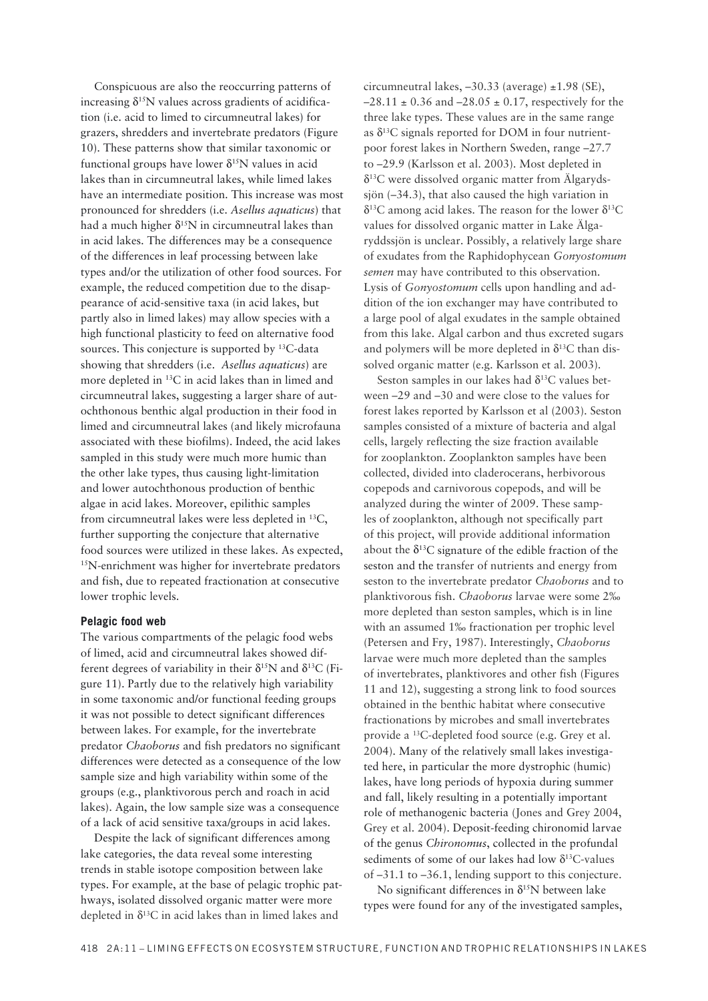Conspicuous are also the reoccurring patterns of increasing  $\delta^{15}N$  values across gradients of acidification (i.e. acid to limed to circumneutral lakes) for grazers, shredders and invertebrate predators (Figure 10). These patterns show that similar taxonomic or functional groups have lower  $\delta^{15}N$  values in acid lakes than in circumneutral lakes, while limed lakes have an intermediate position. This increase was most pronounced for shredders (i.e. *Asellus aquaticus*) that had a much higher  $\delta^{15}N$  in circumneutral lakes than in acid lakes. The differences may be a consequence of the differences in leaf processing between lake types and/or the utilization of other food sources. For example, the reduced competition due to the disappearance of acid-sensitive taxa (in acid lakes, but partly also in limed lakes) may allow species with a high functional plasticity to feed on alternative food sources. This conjecture is supported by  $^{13}$ C-data showing that shredders (i.e. *Asellus aquaticus*) are more depleted in  $^{13}C$  in acid lakes than in limed and circumneutral lakes, suggesting a larger share of autochthonous benthic algal production in their food in limed and circumneutral lakes (and likely microfauna associated with these biofilms). Indeed, the acid lakes sampled in this study were much more humic than the other lake types, thus causing light-limitation and lower autochthonous production of benthic algae in acid lakes. Moreover, epilithic samples from circumneutral lakes were less depleted in  $^{13}C$ , further supporting the conjecture that alternative food sources were utilized in these lakes. As expected, 15N-enrichment was higher for invertebrate predators and fish, due to repeated fractionation at consecutive lower trophic levels.

### **Pelagic food web**

The various compartments of the pelagic food webs of limed, acid and circumneutral lakes showed different degrees of variability in their  $\delta^{15}N$  and  $\delta^{13}C$  (Figure 11). Partly due to the relatively high variability in some taxonomic and/or functional feeding groups it was not possible to detect significant differences between lakes. For example, for the invertebrate predator *Chaoborus* and fish predators no significant differences were detected as a consequence of the low sample size and high variability within some of the groups (e.g., planktivorous perch and roach in acid lakes). Again, the low sample size was a consequence of a lack of acid sensitive taxa/groups in acid lakes.

Despite the lack of significant differences among lake categories, the data reveal some interesting trends in stable isotope composition between lake types. For example, at the base of pelagic trophic pathways, isolated dissolved organic matter were more depleted in  $\delta^{13}$ C in acid lakes than in limed lakes and

circumneutral lakes,  $-30.33$  (average)  $\pm 1.98$  (SE),  $-28.11 \pm 0.36$  and  $-28.05 \pm 0.17$ , respectively for the three lake types. These values are in the same range as  $\delta^{13}$ C signals reported for DOM in four nutrientpoor forest lakes in Northern Sweden, range -27.7 to -29.9 (Karlsson et al. 2003). Most depleted in  $\delta^{13}$ C were dissolved organic matter from Algarydssjön  $(-34.3)$ , that also caused the high variation in  $\delta^{13}$ C among acid lakes. The reason for the lower  $\delta^{13}$ C values for dissolved organic matter in Lake Älgaryddssjön is unclear. Possibly, a relatively large share of exudates from the Raphidophycean *Gonyostomum semen* may have contributed to this observation. Lysis of *Gonyostomum* cells upon handling and addition of the ion exchanger may have contributed to a large pool of algal exudates in the sample obtained from this lake. Algal carbon and thus excreted sugars and polymers will be more depleted in  $\delta^{13}$ C than dissolved organic matter (e.g. Karlsson et al. 2003).

Seston samples in our lakes had  $\delta^{13}$ C values between  $-29$  and  $-30$  and were close to the values for forest lakes reported by Karlsson et al (2003). Seston samples consisted of a mixture of bacteria and algal cells, largely reflecting the size fraction available for zooplankton. Zooplankton samples have been collected, divided into claderocerans, herbivorous copepods and carnivorous copepods, and will be analyzed during the winter of 2009. These samples of zooplankton, although not specifically part of this project, will provide additional information about the  $\delta^{13}$ C signature of the edible fraction of the seston and the transfer of nutrients and energy from seston to the invertebrate predator *Chaoborus* and to planktivorous fish. *Chaoborus* larvae were some 2‰ more depleted than seston samples, which is in line with an assumed 1‰ fractionation per trophic level (Petersen and Fry, 1987). Interestingly, *Chaoborus* larvae were much more depleted than the samples of invertebrates, planktivores and other fish (Figures 11 and 12), suggesting a strong link to food sources obtained in the benthic habitat where consecutive fractionations by microbes and small invertebrates provide a <sup>13</sup>C-depleted food source (e.g. Grey et al. 2004). Many of the relatively small lakes investigated here, in particular the more dystrophic (humic) lakes, have long periods of hypoxia during summer and fall, likely resulting in a potentially important role of methanogenic bacteria (Jones and Grey 2004, Grey et al. 2004). Deposit-feeding chironomid larvae of the genus *Chironomus*, collected in the profundal sediments of some of our lakes had low  $\delta^{13}$ C-values of -31.1 to -36.1, lending support to this conjecture.

No significant differences in  $\delta^{15}N$  between lake types were found for any of the investigated samples,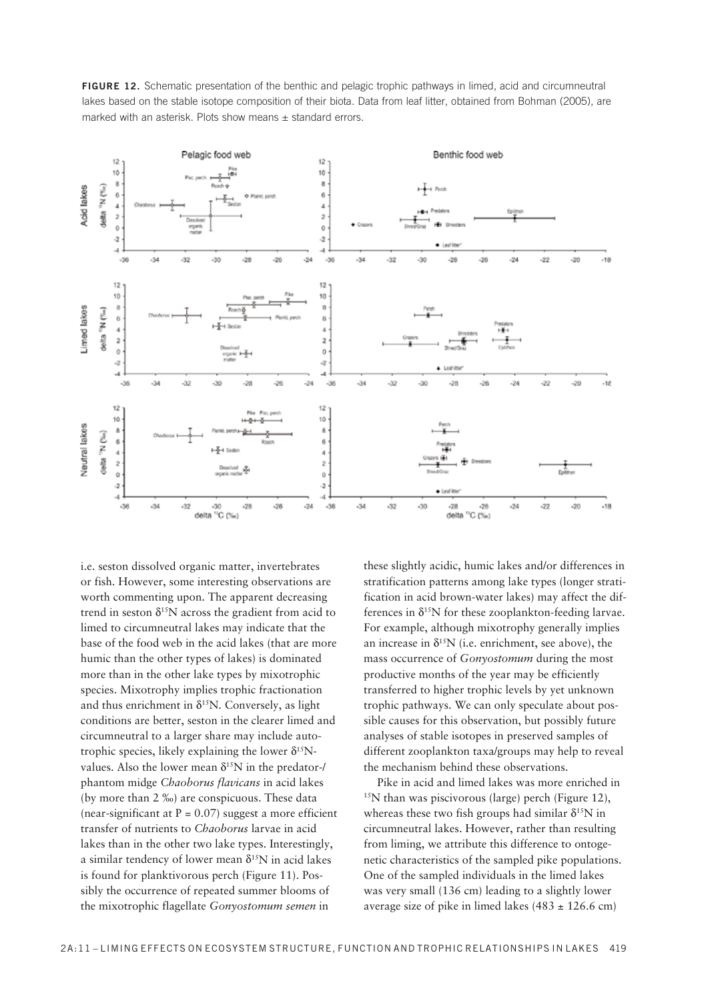![](_page_27_Figure_0.jpeg)

**FIGURE 12.** Schematic presentation of the benthic and pelagic trophic pathways in limed, acid and circumneutral lakes based on the stable isotope composition of their biota. Data from leaf litter, obtained from Bohman (2005), are marked with an asterisk. Plots show means  $\pm$  standard errors.

i.e. seston dissolved organic matter, invertebrates or fish. However, some interesting observations are worth commenting upon. The apparent decreasing trend in seston  $\delta^{15}N$  across the gradient from acid to limed to circumneutral lakes may indicate that the base of the food web in the acid lakes (that are more humic than the other types of lakes) is dominated more than in the other lake types by mixotrophic species. Mixotrophy implies trophic fractionation and thus enrichment in  $\delta^{15}N$ . Conversely, as light conditions are better, seston in the clearer limed and circumneutral to a larger share may include autotrophic species, likely explaining the lower  $\delta^{15}N$ values. Also the lower mean  $\delta^{15}N$  in the predator-/ phantom midge *Chaoborus flavicans* in acid lakes (by more than 2 ‰) are conspicuous. These data (near-significant at  $P = 0.07$ ) suggest a more efficient transfer of nutrients to *Chaoborus* larvae in acid lakes than in the other two lake types. Interestingly, a similar tendency of lower mean  $\delta^{15}N$  in acid lakes is found for planktivorous perch (Figure 11). Possibly the occurrence of repeated summer blooms of the mixotrophic flagellate *Gonyostomum semen* in

these slightly acidic, humic lakes and/or differences in stratification patterns among lake types (longer stratification in acid brown-water lakes) may affect the differences in  $\delta^{15}N$  for these zooplankton-feeding larvae. For example, although mixotrophy generally implies an increase in  $\delta^{15}N$  (i.e. enrichment, see above), the mass occurrence of *Gonyostomum* during the most productive months of the year may be efficiently transferred to higher trophic levels by yet unknown trophic pathways. We can only speculate about possible causes for this observation, but possibly future analyses of stable isotopes in preserved samples of different zooplankton taxa/groups may help to reveal the mechanism behind these observations.

Pike in acid and limed lakes was more enriched in  $15N$  than was piscivorous (large) perch (Figure 12), whereas these two fish groups had similar  $\delta^{15}N$  in circumneutral lakes. However, rather than resulting from liming, we attribute this difference to ontogenetic characteristics of the sampled pike populations. One of the sampled individuals in the limed lakes was very small (136 cm) leading to a slightly lower average size of pike in limed lakes  $(483 \pm 126.6 \text{ cm})$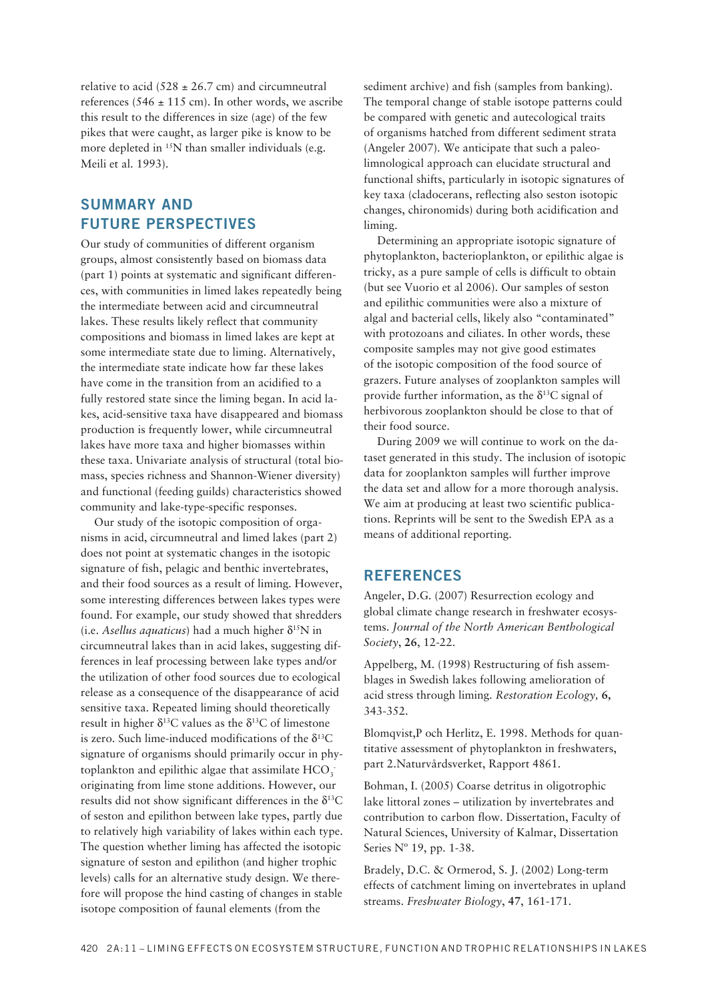relative to acid  $(528 \pm 26.7 \text{ cm})$  and circumneutral references (546  $\pm$  115 cm). In other words, we ascribe this result to the differences in size (age) of the few pikes that were caught, as larger pike is know to be more depleted in <sup>15</sup>N than smaller individuals (e.g. Meili et al. 1993).

### **SUMMARY AND FUTURE PERSPECTIVES**

Our study of communities of different organism groups, almost consistently based on biomass data (part 1) points at systematic and significant differences, with communities in limed lakes repeatedly being the intermediate between acid and circumneutral lakes. These results likely reflect that community compositions and biomass in limed lakes are kept at some intermediate state due to liming. Alternatively, the intermediate state indicate how far these lakes have come in the transition from an acidified to a fully restored state since the liming began. In acid lakes, acid-sensitive taxa have disappeared and biomass production is frequently lower, while circumneutral lakes have more taxa and higher biomasses within these taxa. Univariate analysis of structural (total bio mass, species richness and Shannon-Wiener diversity) and functional (feeding guilds) characteristics showed community and lake-type-specific responses.

Our study of the isotopic composition of organisms in acid, circumneutral and limed lakes (part 2) does not point at systematic changes in the isotopic signature of fish, pelagic and benthic invertebrates, and their food sources as a result of liming. However, some interesting differences between lakes types were found. For example, our study showed that shredders (i.e. *Asellus aquaticus*) had a much higher  $\delta^{15}N$  in circumneutral lakes than in acid lakes, suggesting differences in leaf processing between lake types and/or the utilization of other food sources due to ecological release as a consequence of the disappearance of acid sensitive taxa. Repeated liming should theoretically result in higher  $\delta^{13}$ C values as the  $\delta^{13}$ C of limestone is zero. Such lime-induced modifications of the  $\delta^{13}C$ signature of organisms should primarily occur in phytoplankton and epilithic algae that assimilate  $\mathrm{HCO}_3^$ originating from lime stone additions. However, our results did not show significant differences in the  $\delta^{13}C$ of seston and epilithon between lake types, partly due to relatively high variability of lakes within each type. The question whether liming has affected the isotopic signature of seston and epilithon (and higher trophic levels) calls for an alternative study design. We therefore will propose the hind casting of changes in stable isotope composition of faunal elements (from the

sediment archive) and fish (samples from banking). The temporal change of stable isotope patterns could be compared with genetic and autecological traits of organisms hatched from different sediment strata (Angeler 2007). We anticipate that such a paleolimnological approach can elucidate structural and functional shifts, particularly in isotopic signatures of key taxa (cladocerans, reflecting also seston isotopic changes, chironomids) during both acidification and liming.

Determining an appropriate isotopic signature of phytoplankton, bacterioplankton, or epilithic algae is tricky, as a pure sample of cells is difficult to obtain (but see Vuorio et al 2006). Our samples of seston and epilithic communities were also a mixture of algal and bacterial cells, likely also "contaminated" with protozoans and ciliates. In other words, these composite samples may not give good estimates of the isotopic composition of the food source of grazers. Future analyses of zooplankton samples will provide further information, as the  $\delta^{13}$ C signal of herbivorous zooplankton should be close to that of their food source.

During 2009 we will continue to work on the dataset generated in this study. The inclusion of isotopic data for zooplankton samples will further improve the data set and allow for a more thorough analysis. We aim at producing at least two scientific publications. Reprints will be sent to the Swedish EPA as a means of additional reporting.

### **REFERENCES**

Angeler, D.G. (2007) Resurrection ecology and global climate change research in freshwater ecosystems. *Journal of the North American Benthological Society*, **26**, 12-22.

Appelberg, M. (1998) Restructuring of fish assemblages in Swedish lakes following amelioration of acid stress through liming. *Restoration Ecology,* **6,** 343-352.

Blomqvist,P och Herlitz, E. 1998. Methods for quantitative assessment of phytoplankton in freshwaters, part 2.Naturvårdsverket, Rapport 4861.

Bohman, I. (2005) Coarse detritus in oligotrophic lake littoral zones - utilization by invertebrates and contribution to carbon flow. Dissertation, Faculty of Natural Sciences, University of Kalmar, Dissertation Series Nº 19, pp. 1-38.

Bradely, D.C. & Ormerod, S. J. (2002) Long-term effects of catchment liming on invertebrates in upland streams. *Freshwater Biology*, **47**, 161-171.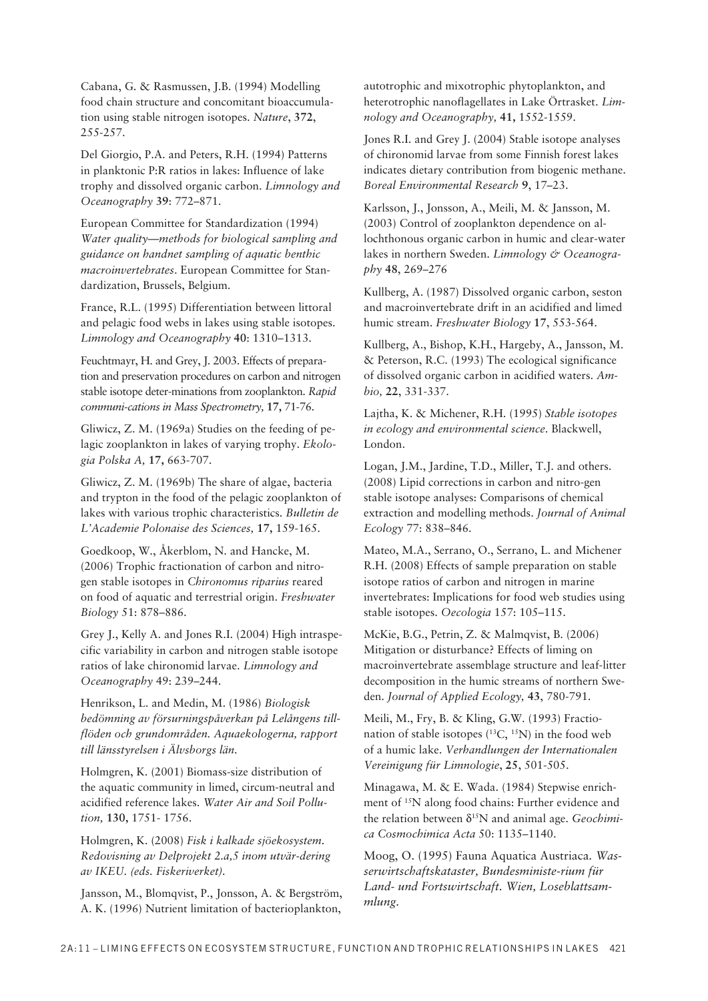Cabana, G. & Rasmussen, J.B. (1994) Modelling food chain structure and concomitant bioaccumulation using stable nitrogen isotopes. Nature, 372, 255-257.

Del Giorgio, P.A. and Peters, R.H. (1994) Patterns in planktonic P:R ratios in lakes: Influence of lake trophy and dissolved organic carbon. Limnology and Oceanography 39: 772-871.

European Committee for Standardization (1994) Water quality—methods for biological sampling and guidance on handnet sampling of aquatic benthic macroinvertebrates. European Committee for Standardization, Brussels, Belgium.

France, R.L. (1995) Differentiation between littoral and pelagic food webs in lakes using stable isotopes. Limnology and Oceanography 40: 1310-1313.

Feuchtmayr, H. and Grey, J. 2003. Effects of preparation and preservation procedures on carbon and nitrogen stable isotope deter-minations from zooplankton. Rapid communi-cations in Mass Spectrometry, 17, 71-76.

Gliwicz, Z. M. (1969a) Studies on the feeding of pelagic zooplankton in lakes of varying trophy. Ekologia Polska A, 17, 663-707.

Gliwicz, Z. M. (1969b) The share of algae, bacteria and trypton in the food of the pelagic zooplankton of lakes with various trophic characteristics. Bulletin de L'Academie Polonaise des Sciences, 17, 159-165.

Goedkoop, W., Åkerblom, N. and Hancke, M. (2006) Trophic fractionation of carbon and nitrogen stable isotopes in Chironomus riparius reared on food of aquatic and terrestrial origin. Freshwater Biology 51: 878-886.

Grey J., Kelly A. and Jones R.I. (2004) High intraspecific variability in carbon and nitrogen stable isotope ratios of lake chironomid larvae. Limnology and Oceanography 49: 239-244.

Henrikson, L. and Medin, M. (1986) Biologisk bedömning av försurningspåverkan på Lelångens tillflöden och grundområden. Aquaekologerna, rapport till länsstyrelsen i Älvsborgs län.

Holmgren, K. (2001) Biomass-size distribution of the aquatic community in limed, circum-neutral and acidified reference lakes. Water Air and Soil Pollution, 130, 1751-1756.

Holmgren, K. (2008) Fisk i kalkade sjöekosystem. Redovisning av Delprojekt 2.a,5 inom utvär-dering av IKEU. (eds. Fiskeriverket).

Jansson, M., Blomqvist, P., Jonsson, A. & Bergström, A. K. (1996) Nutrient limitation of bacterioplankton, autotrophic and mixotrophic phytoplankton, and heterotrophic nanoflagellates in Lake Örtrasket. Limnology and Oceanography, 41, 1552-1559.

Jones R.I. and Grey J. (2004) Stable isotope analyses of chironomid larvae from some Finnish forest lakes indicates dietary contribution from biogenic methane. Boreal Environmental Research 9, 17-23.

Karlsson, J., Jonsson, A., Meili, M. & Jansson, M. (2003) Control of zooplankton dependence on allochthonous organic carbon in humic and clear-water lakes in northern Sweden. Limnology & Oceanography 48, 269-276

Kullberg, A. (1987) Dissolved organic carbon, seston and macroinvertebrate drift in an acidified and limed humic stream. Freshwater Biology 17, 553-564.

Kullberg, A., Bishop, K.H., Hargeby, A., Jansson, M. & Peterson, R.C. (1993) The ecological significance of dissolved organic carbon in acidified waters. Ambio. 22, 331-337.

Lajtha, K. & Michener, R.H. (1995) Stable isotopes in ecology and environmental science. Blackwell, London.

Logan, J.M., Jardine, T.D., Miller, T.J. and others. (2008) Lipid corrections in carbon and nitro-gen stable isotope analyses: Comparisons of chemical extraction and modelling methods. Journal of Animal Ecology 77: 838-846.

Mateo, M.A., Serrano, O., Serrano, L. and Michener R.H. (2008) Effects of sample preparation on stable isotope ratios of carbon and nitrogen in marine invertebrates: Implications for food web studies using stable isotopes. Oecologia 157: 105-115.

McKie, B.G., Petrin, Z. & Malmqvist, B. (2006) Mitigation or disturbance? Effects of liming on macroinvertebrate assemblage structure and leaf-litter decomposition in the humic streams of northern Sweden. Journal of Applied Ecology, 43, 780-791.

Meili, M., Fry, B. & Kling, G.W. (1993) Fractionation of stable isotopes (<sup>13</sup>C, <sup>15</sup>N) in the food web of a humic lake. Verhandlungen der Internationalen Vereinigung für Limnologie, 25, 501-505.

Minagawa, M. & E. Wada. (1984) Stepwise enrichment of <sup>15</sup>N along food chains: Further evidence and the relation between  $\delta^{15}N$  and animal age. Geochimica Cosmochimica Acta 50: 1135-1140.

Moog, O. (1995) Fauna Aquatica Austriaca. Wasserwirtschaftskataster, Bundesministe-rium für Land- und Fortswirtschaft. Wien, Loseblattsammlung.